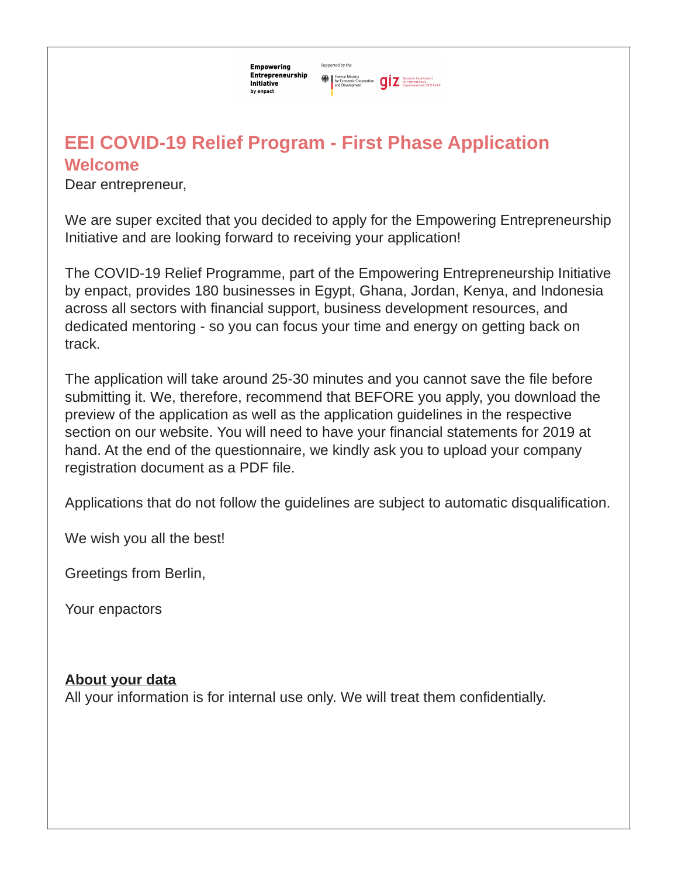Supported by the **Empowering** Entrepreneurship Federal Ministry<br>for Economic Cooperation<br>and Development<br>and Development<br> $\sum_{\text{Zusammenscubic}}$  (612) Smbl Initiative by enpact

# **Welcome EEI COVID-19 Relief Program - First Phase Application**

Dear entrepreneur,

We are super excited that you decided to apply for the Empowering Entrepreneurship Initiative and are looking forward to receiving your application!

The COVID-19 Relief Programme, part of the Empowering Entrepreneurship Initiative by enpact, provides 180 businesses in Egypt, Ghana, Jordan, Kenya, and Indonesia across all sectors with financial support, business development resources, and dedicated mentoring - so you can focus your time and energy on getting back on track.

The application will take around 25-30 minutes and you cannot save the file before submitting it. We, therefore, recommend that BEFORE you apply, you download the preview of the application as well as the application guidelines in the respective section on our website. You will need to have your financial statements for 2019 at hand. At the end of the questionnaire, we kindly ask you to upload your company registration document as a PDF file.

Applications that do not follow the guidelines are subject to automatic disqualification.

We wish you all the best!

Greetings from Berlin,

Your enpactors

#### **About your data**

All your information is for internal use only. We will treat them confidentially.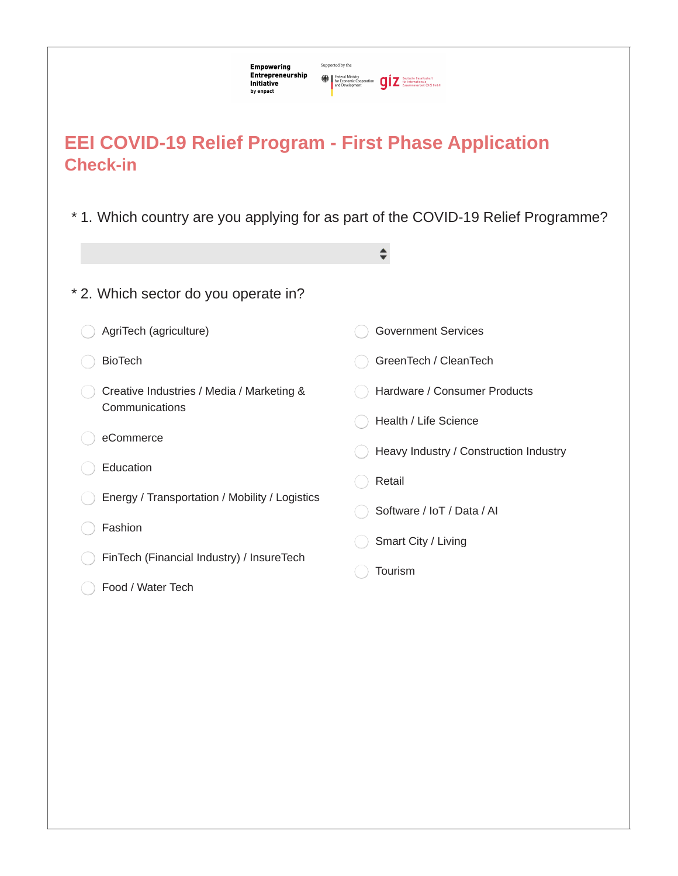| Supported by the<br>Empowering<br>Entrepreneurship<br>Initiative<br>by enpact   | Federal Ministry<br>For Economic Cooperation<br><b>giz</b> fur Internationals<br>Z <b>Examines</b> <i>Zusammenarbeit</i> (612) SmbH<br>and Development |
|---------------------------------------------------------------------------------|--------------------------------------------------------------------------------------------------------------------------------------------------------|
| <b>EEI COVID-19 Relief Program - First Phase Application</b><br><b>Check-in</b> |                                                                                                                                                        |
|                                                                                 | * 1. Which country are you applying for as part of the COVID-19 Relief Programme?<br>÷                                                                 |
| * 2. Which sector do you operate in?                                            |                                                                                                                                                        |
| AgriTech (agriculture)                                                          | <b>Government Services</b>                                                                                                                             |
| <b>BioTech</b>                                                                  | GreenTech / CleanTech                                                                                                                                  |
| Creative Industries / Media / Marketing &<br>Communications                     | Hardware / Consumer Products<br>Health / Life Science                                                                                                  |
| eCommerce                                                                       | Heavy Industry / Construction Industry                                                                                                                 |
| Education                                                                       | Retail                                                                                                                                                 |
| Energy / Transportation / Mobility / Logistics                                  |                                                                                                                                                        |
| Fashion                                                                         | Software / IoT / Data / AI                                                                                                                             |
| FinTech (Financial Industry) / InsureTech                                       | Smart City / Living                                                                                                                                    |
| Food / Water Tech                                                               | Tourism                                                                                                                                                |
|                                                                                 |                                                                                                                                                        |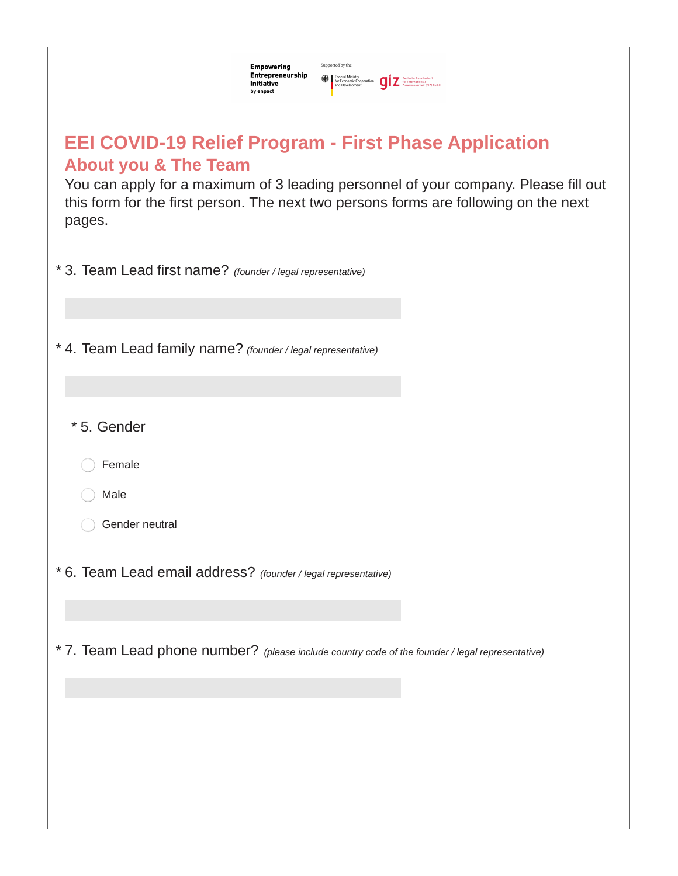| Supported by the<br>Empowering<br>Entrepreneurship<br>Federal Ministry<br>for Economic Cooperation<br>and Development<br>and Development<br>$\sum_{Z$ assummenarbeit (912) 8mbH<br>Initiative<br>by enpact                                                                               |
|------------------------------------------------------------------------------------------------------------------------------------------------------------------------------------------------------------------------------------------------------------------------------------------|
| <b>EEI COVID-19 Relief Program - First Phase Application</b><br><b>About you &amp; The Team</b><br>You can apply for a maximum of 3 leading personnel of your company. Please fill out<br>this form for the first person. The next two persons forms are following on the next<br>pages. |
| * 3. Team Lead first name? (founder / legal representative)                                                                                                                                                                                                                              |
| * 4. Team Lead family name? (founder / legal representative)                                                                                                                                                                                                                             |
| * 5. Gender                                                                                                                                                                                                                                                                              |
| Female                                                                                                                                                                                                                                                                                   |
| Male                                                                                                                                                                                                                                                                                     |
| Gender neutral                                                                                                                                                                                                                                                                           |
| * 6. Team Lead email address? (founder / legal representative)                                                                                                                                                                                                                           |
|                                                                                                                                                                                                                                                                                          |
| * 7. Team Lead phone number? (please include country code of the founder / legal representative)                                                                                                                                                                                         |
|                                                                                                                                                                                                                                                                                          |
|                                                                                                                                                                                                                                                                                          |
|                                                                                                                                                                                                                                                                                          |
|                                                                                                                                                                                                                                                                                          |
|                                                                                                                                                                                                                                                                                          |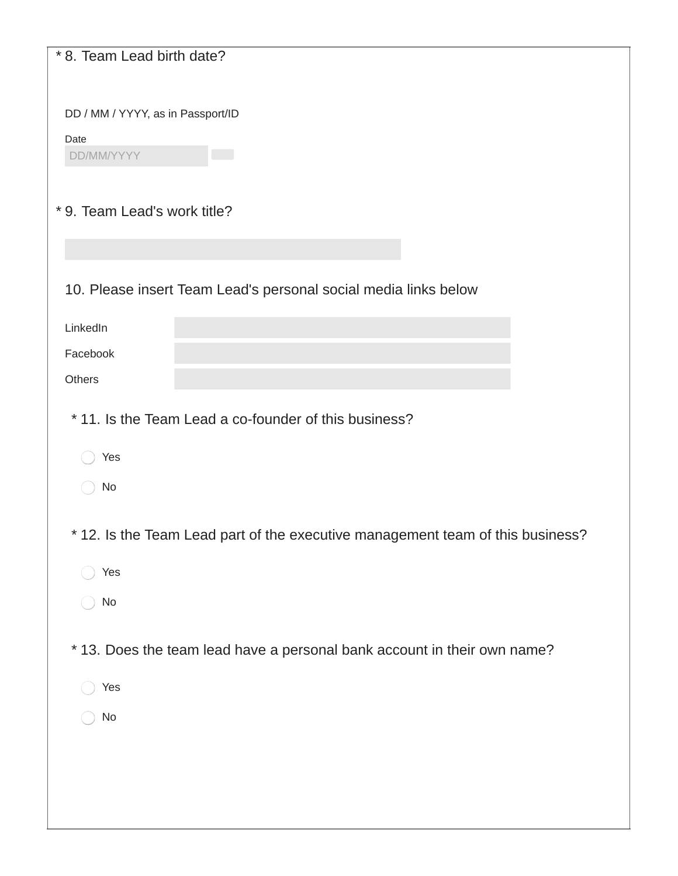| * 8. Team Lead birth date?                                                     |
|--------------------------------------------------------------------------------|
| DD / MM / YYYY, as in Passport/ID                                              |
| Date                                                                           |
| DD/MM/YYYY                                                                     |
| * 9. Team Lead's work title?                                                   |
|                                                                                |
| 10. Please insert Team Lead's personal social media links below                |
| LinkedIn                                                                       |
| Facebook                                                                       |
| Others                                                                         |
| *11. Is the Team Lead a co-founder of this business?                           |
| Yes                                                                            |
| No                                                                             |
| * 12. Is the Team Lead part of the executive management team of this business? |
| Yes                                                                            |
| No                                                                             |
| *13. Does the team lead have a personal bank account in their own name?        |
| Yes                                                                            |
| No                                                                             |
|                                                                                |
|                                                                                |
|                                                                                |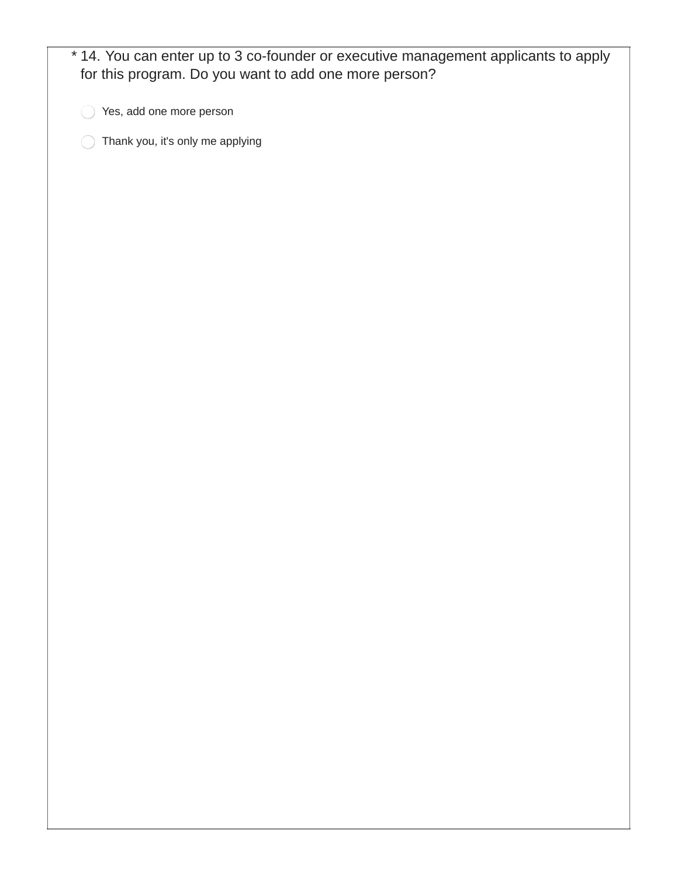| for this program. Do you want to add one more person? |  |
|-------------------------------------------------------|--|
| Yes, add one more person                              |  |
| Thank you, it's only me applying                      |  |
|                                                       |  |
|                                                       |  |
|                                                       |  |
|                                                       |  |
|                                                       |  |
|                                                       |  |
|                                                       |  |
|                                                       |  |
|                                                       |  |
|                                                       |  |
|                                                       |  |
|                                                       |  |
|                                                       |  |
|                                                       |  |
|                                                       |  |
|                                                       |  |
|                                                       |  |
|                                                       |  |
|                                                       |  |
|                                                       |  |
|                                                       |  |
|                                                       |  |
|                                                       |  |
|                                                       |  |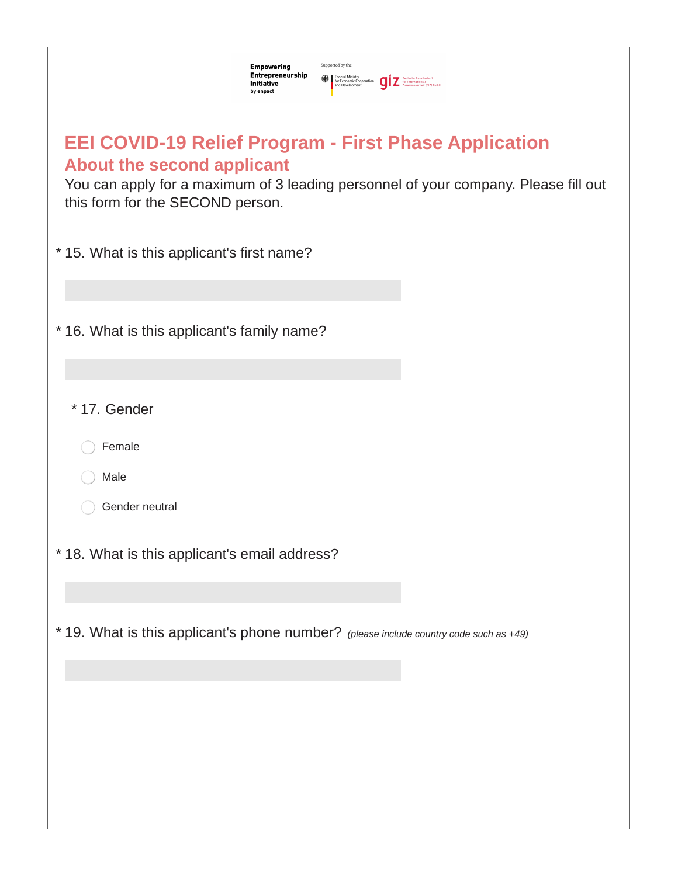| Supported by the<br><b>Empowering</b><br>Entrepreneurship<br>Federal Ministry<br>for Economic Cooperation<br>and Development<br>and Development<br>$\sum_{Z}$ Sur Internationals<br><b>Initiative</b><br>by enpact           |
|------------------------------------------------------------------------------------------------------------------------------------------------------------------------------------------------------------------------------|
| <b>EEI COVID-19 Relief Program - First Phase Application</b><br><b>About the second applicant</b><br>You can apply for a maximum of 3 leading personnel of your company. Please fill out<br>this form for the SECOND person. |
| * 15. What is this applicant's first name?                                                                                                                                                                                   |
| * 16. What is this applicant's family name?                                                                                                                                                                                  |
| * 17. Gender                                                                                                                                                                                                                 |
| Female                                                                                                                                                                                                                       |
| Male                                                                                                                                                                                                                         |
| Gender neutral                                                                                                                                                                                                               |
| * 18. What is this applicant's email address?                                                                                                                                                                                |
| * 19. What is this applicant's phone number? (please include country code such as +49)                                                                                                                                       |
|                                                                                                                                                                                                                              |
|                                                                                                                                                                                                                              |
|                                                                                                                                                                                                                              |
|                                                                                                                                                                                                                              |
|                                                                                                                                                                                                                              |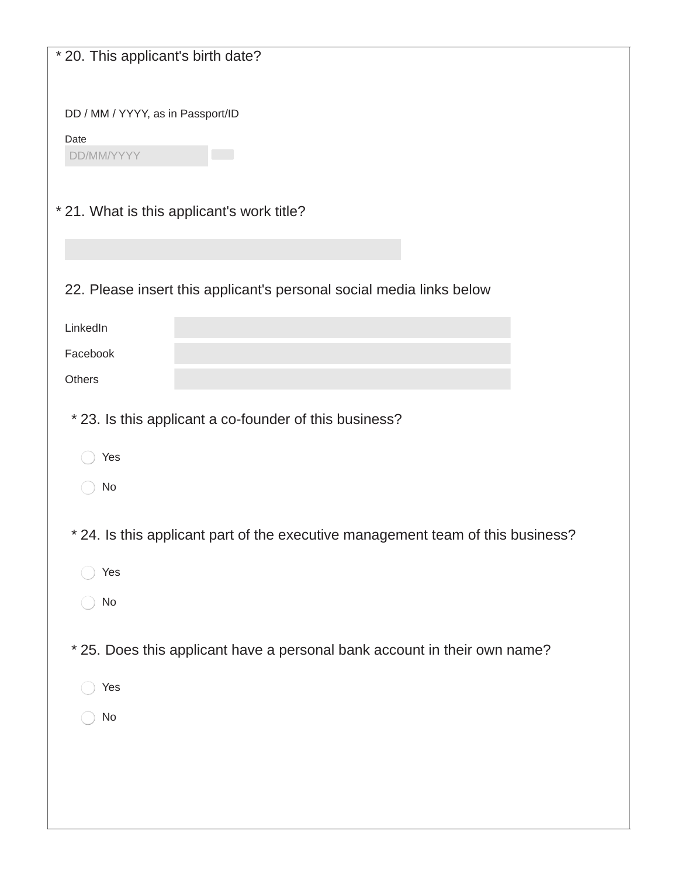| * 20. This applicant's birth date?                                              |
|---------------------------------------------------------------------------------|
|                                                                                 |
| DD / MM / YYYY, as in Passport/ID                                               |
| Date                                                                            |
| DD/MM/YYYY                                                                      |
|                                                                                 |
| * 21. What is this applicant's work title?                                      |
|                                                                                 |
| 22. Please insert this applicant's personal social media links below            |
| LinkedIn                                                                        |
| Facebook                                                                        |
| Others                                                                          |
|                                                                                 |
| * 23. Is this applicant a co-founder of this business?                          |
| Yes                                                                             |
| No                                                                              |
|                                                                                 |
| * 24. Is this applicant part of the executive management team of this business? |
| Yes                                                                             |
| No                                                                              |
|                                                                                 |
| * 25. Does this applicant have a personal bank account in their own name?       |
| Yes                                                                             |
| No                                                                              |
|                                                                                 |
|                                                                                 |
|                                                                                 |
|                                                                                 |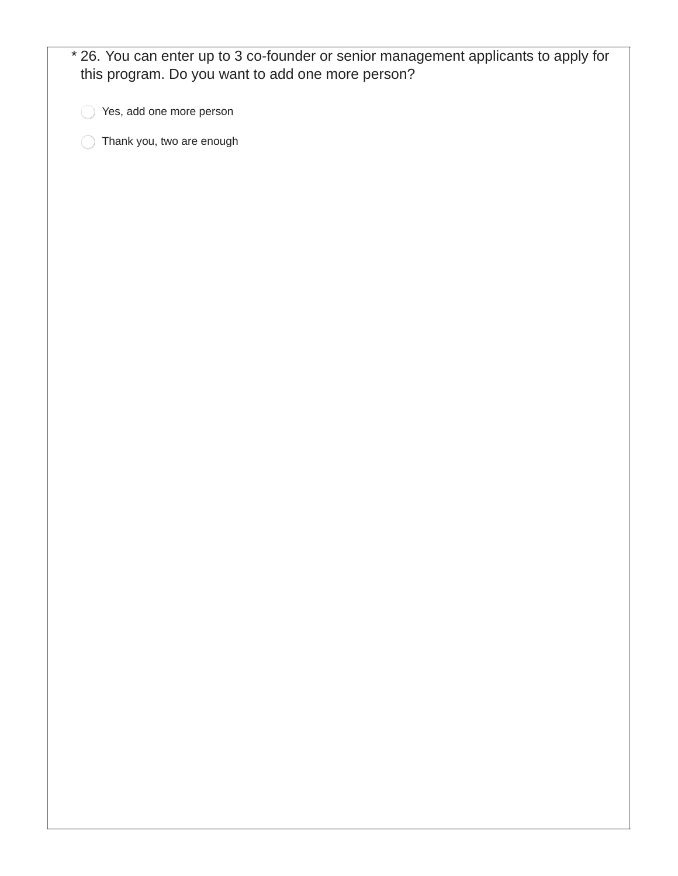| * 26. You can enter up to 3 co-founder or senior management applicants to apply for<br>this program. Do you want to add one more person? |
|------------------------------------------------------------------------------------------------------------------------------------------|
| Yes, add one more person                                                                                                                 |
| Thank you, two are enough                                                                                                                |
|                                                                                                                                          |
|                                                                                                                                          |
|                                                                                                                                          |
|                                                                                                                                          |
|                                                                                                                                          |
|                                                                                                                                          |
|                                                                                                                                          |
|                                                                                                                                          |
|                                                                                                                                          |
|                                                                                                                                          |
|                                                                                                                                          |
|                                                                                                                                          |
|                                                                                                                                          |
|                                                                                                                                          |
|                                                                                                                                          |
|                                                                                                                                          |
|                                                                                                                                          |
|                                                                                                                                          |
|                                                                                                                                          |
|                                                                                                                                          |
|                                                                                                                                          |
|                                                                                                                                          |
|                                                                                                                                          |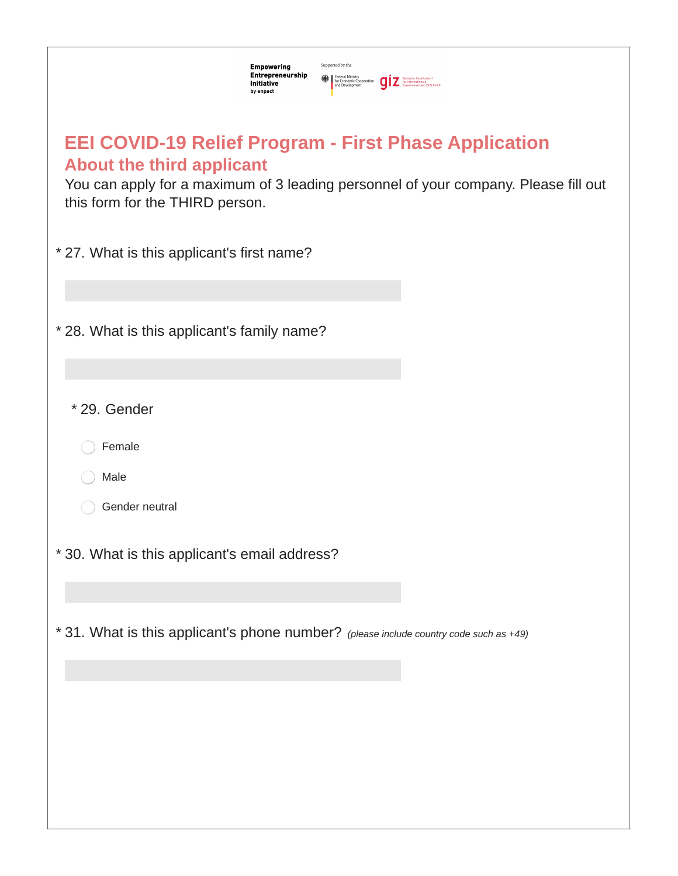| Supported by the<br><b>Empowering</b><br>Entrepreneurship<br>Federal Ministry<br>The Economic Cooperation<br>and Development<br>The Susammenarbeit (612) 6mbH<br>$\sum_{\text{Assumption 10}}$<br>Initiative<br>by enpact  |
|----------------------------------------------------------------------------------------------------------------------------------------------------------------------------------------------------------------------------|
| <b>EEI COVID-19 Relief Program - First Phase Application</b><br><b>About the third applicant</b><br>You can apply for a maximum of 3 leading personnel of your company. Please fill out<br>this form for the THIRD person. |
| * 27. What is this applicant's first name?                                                                                                                                                                                 |
| * 28. What is this applicant's family name?                                                                                                                                                                                |
| * 29. Gender                                                                                                                                                                                                               |
| Female                                                                                                                                                                                                                     |
| Male                                                                                                                                                                                                                       |
| Gender neutral                                                                                                                                                                                                             |
| * 30. What is this applicant's email address?                                                                                                                                                                              |
|                                                                                                                                                                                                                            |
| * 31. What is this applicant's phone number? (please include country code such as +49)                                                                                                                                     |
|                                                                                                                                                                                                                            |
|                                                                                                                                                                                                                            |
|                                                                                                                                                                                                                            |
|                                                                                                                                                                                                                            |
|                                                                                                                                                                                                                            |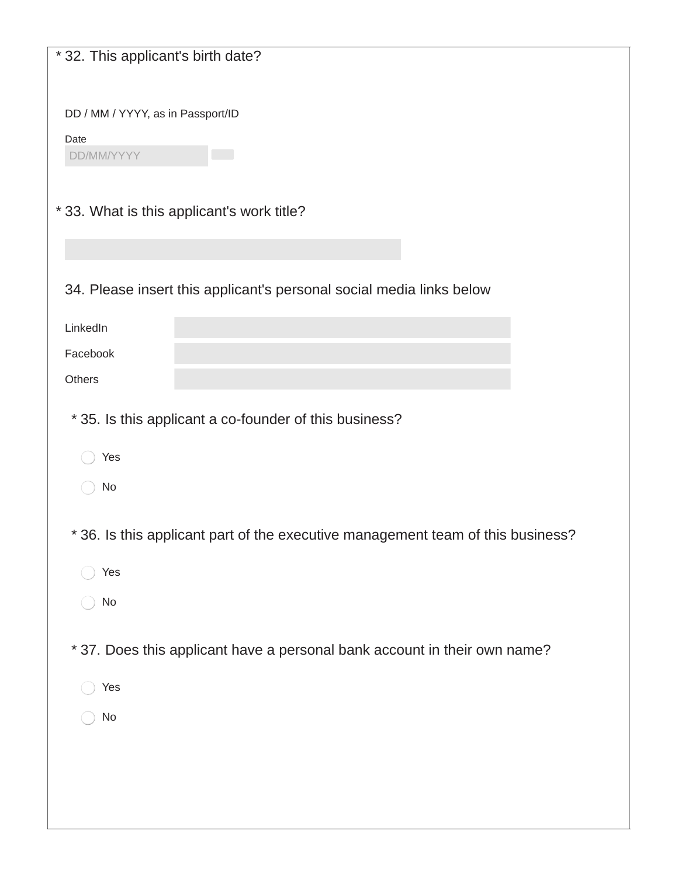| *32. This applicant's birth date?                                               |
|---------------------------------------------------------------------------------|
|                                                                                 |
| DD / MM / YYYY, as in Passport/ID                                               |
| Date<br>DD/MM/YYYY                                                              |
|                                                                                 |
| *33. What is this applicant's work title?                                       |
|                                                                                 |
|                                                                                 |
| 34. Please insert this applicant's personal social media links below            |
| LinkedIn                                                                        |
| Facebook                                                                        |
| Others                                                                          |
| * 35. Is this applicant a co-founder of this business?                          |
| Yes                                                                             |
| No                                                                              |
|                                                                                 |
| * 36. Is this applicant part of the executive management team of this business? |
| Yes                                                                             |
| No                                                                              |
| * 37. Does this applicant have a personal bank account in their own name?       |
| Yes                                                                             |
| No                                                                              |
|                                                                                 |
|                                                                                 |
|                                                                                 |
|                                                                                 |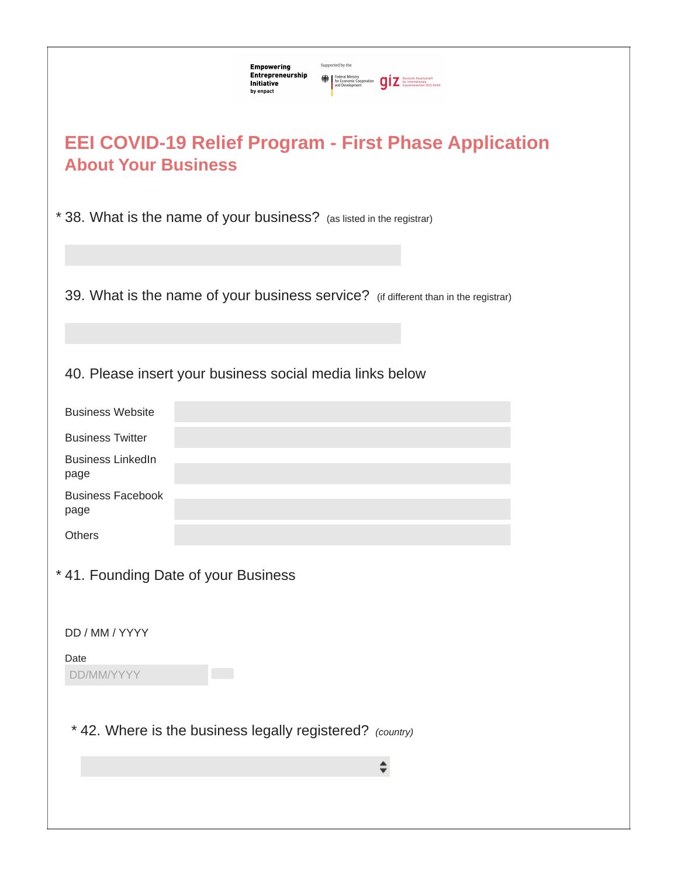| Supported by the<br><b>Empowering</b><br>Entrepreneurship<br>Federal Ministry<br>for Economic Cooperation<br>and Development<br>and Development<br>for Internationals<br>$\overline{\phantom{a}}$<br>$\overline{\phantom{a}}$ $\overline{\phantom{a}}$ $\overline{\phantom{a}}$ $\overline{\phantom{a}}$ $\overline{\phantom{a}}$ $\overline{\phantom{a}}$ $\overline{\phantom{a}}$ $\overline{\phantom{a}}$ $\overline{\phantom{a}}$ $\overline{\phantom{a$<br><b>Initiative</b><br>by enpact |
|------------------------------------------------------------------------------------------------------------------------------------------------------------------------------------------------------------------------------------------------------------------------------------------------------------------------------------------------------------------------------------------------------------------------------------------------------------------------------------------------|
| <b>EEI COVID-19 Relief Program - First Phase Application</b><br><b>About Your Business</b>                                                                                                                                                                                                                                                                                                                                                                                                     |
| * 38. What is the name of your business? (as listed in the registrar)                                                                                                                                                                                                                                                                                                                                                                                                                          |
| 39. What is the name of your business service? (if different than in the registrar)                                                                                                                                                                                                                                                                                                                                                                                                            |
| 40. Please insert your business social media links below                                                                                                                                                                                                                                                                                                                                                                                                                                       |
| <b>Business Website</b>                                                                                                                                                                                                                                                                                                                                                                                                                                                                        |
| <b>Business Twitter</b>                                                                                                                                                                                                                                                                                                                                                                                                                                                                        |
| <b>Business LinkedIn</b><br>page                                                                                                                                                                                                                                                                                                                                                                                                                                                               |
| <b>Business Facebook</b><br>page                                                                                                                                                                                                                                                                                                                                                                                                                                                               |
| Others                                                                                                                                                                                                                                                                                                                                                                                                                                                                                         |
| * 41. Founding Date of your Business                                                                                                                                                                                                                                                                                                                                                                                                                                                           |
| DD / MM / YYYY                                                                                                                                                                                                                                                                                                                                                                                                                                                                                 |
| Date<br>DD/MM/YYYY                                                                                                                                                                                                                                                                                                                                                                                                                                                                             |
| * 42. Where is the business legally registered? (country)                                                                                                                                                                                                                                                                                                                                                                                                                                      |
|                                                                                                                                                                                                                                                                                                                                                                                                                                                                                                |
|                                                                                                                                                                                                                                                                                                                                                                                                                                                                                                |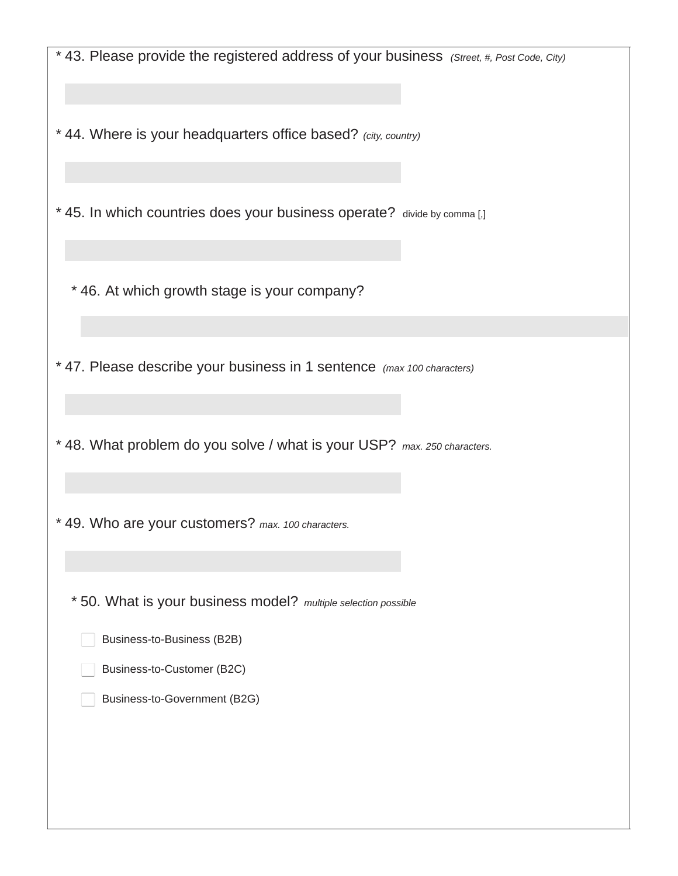| * 43. Please provide the registered address of your business (Street, #, Post Code, City) |
|-------------------------------------------------------------------------------------------|
|                                                                                           |
| * 44. Where is your headquarters office based? (city, country)                            |
|                                                                                           |
| * 45. In which countries does your business operate? divide by comma [,]                  |
|                                                                                           |
| * 46. At which growth stage is your company?                                              |
|                                                                                           |
| * 47. Please describe your business in 1 sentence (max 100 characters)                    |
|                                                                                           |
| * 48. What problem do you solve / what is your USP? max. 250 characters.                  |
|                                                                                           |
| * 49. Who are your customers? max. 100 characters.                                        |
|                                                                                           |
| * 50. What is your business model? multiple selection possible                            |
| Business-to-Business (B2B)                                                                |
| Business-to-Customer (B2C)                                                                |
| Business-to-Government (B2G)                                                              |
|                                                                                           |
|                                                                                           |
|                                                                                           |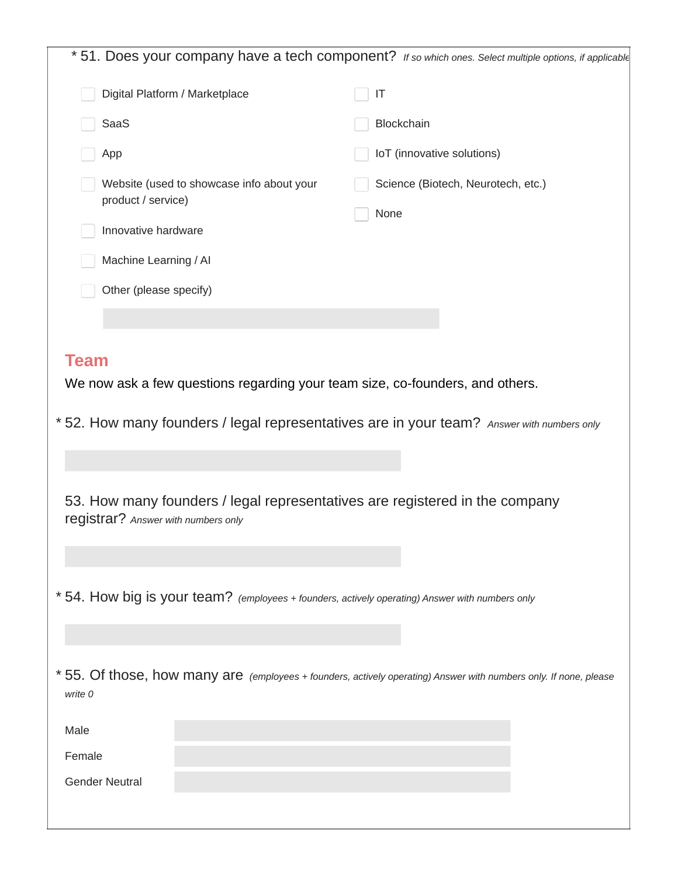| * 51. Does your company have a tech component? If so which ones. Select multiple options, if applicable<br>Digital Platform / Marketplace<br>IT<br>Blockchain<br>SaaS<br>IoT (innovative solutions)<br>App<br>Website (used to showcase info about your<br>Science (Biotech, Neurotech, etc.)<br>product / service)<br>None<br>Innovative hardware<br>Machine Learning / Al<br>Other (please specify) |
|-------------------------------------------------------------------------------------------------------------------------------------------------------------------------------------------------------------------------------------------------------------------------------------------------------------------------------------------------------------------------------------------------------|
|                                                                                                                                                                                                                                                                                                                                                                                                       |
|                                                                                                                                                                                                                                                                                                                                                                                                       |
|                                                                                                                                                                                                                                                                                                                                                                                                       |
|                                                                                                                                                                                                                                                                                                                                                                                                       |
|                                                                                                                                                                                                                                                                                                                                                                                                       |
|                                                                                                                                                                                                                                                                                                                                                                                                       |
|                                                                                                                                                                                                                                                                                                                                                                                                       |
|                                                                                                                                                                                                                                                                                                                                                                                                       |
|                                                                                                                                                                                                                                                                                                                                                                                                       |
|                                                                                                                                                                                                                                                                                                                                                                                                       |
| We now ask a few questions regarding your team size, co-founders, and others.<br>* 52. How many founders / legal representatives are in your team? Answer with numbers only<br>53. How many founders / legal representatives are registered in the company<br>registrar? Answer with numbers only                                                                                                     |
| * 54. How big is your team? (employees + founders, actively operating) Answer with numbers only                                                                                                                                                                                                                                                                                                       |
|                                                                                                                                                                                                                                                                                                                                                                                                       |
| * 55. Of those, how many are (employees + founders, actively operating) Answer with numbers only. If none, please<br>write 0                                                                                                                                                                                                                                                                          |
| Male                                                                                                                                                                                                                                                                                                                                                                                                  |
| Female                                                                                                                                                                                                                                                                                                                                                                                                |
| <b>Gender Neutral</b>                                                                                                                                                                                                                                                                                                                                                                                 |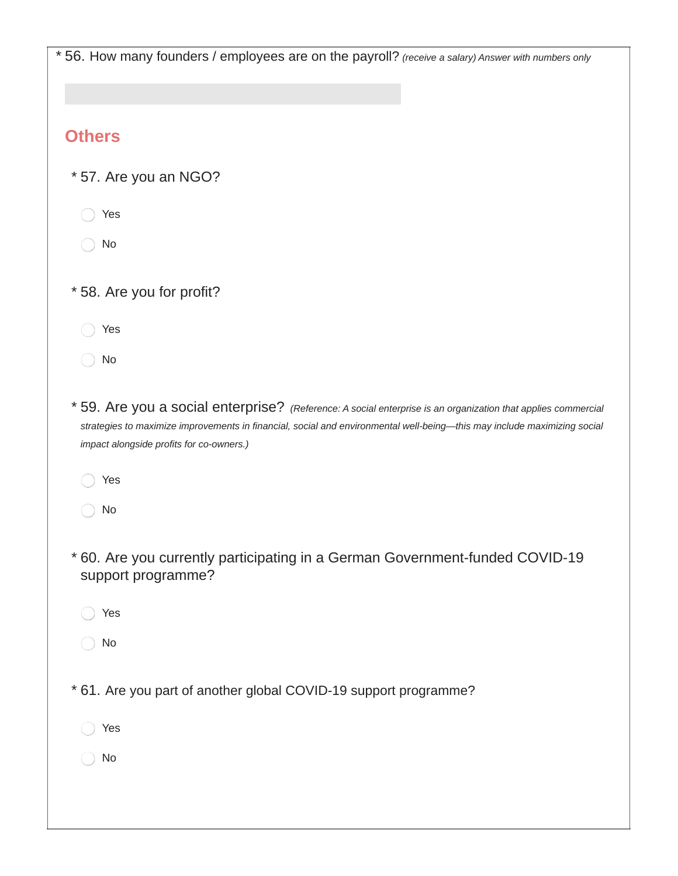|                          | * 56. How many founders / employees are on the payroll? (receive a salary) Answer with numbers only                                                                                                                                                                                   |
|--------------------------|---------------------------------------------------------------------------------------------------------------------------------------------------------------------------------------------------------------------------------------------------------------------------------------|
| <b>Others</b>            |                                                                                                                                                                                                                                                                                       |
| * 57. Are you an NGO?    |                                                                                                                                                                                                                                                                                       |
| Yes                      |                                                                                                                                                                                                                                                                                       |
| No                       |                                                                                                                                                                                                                                                                                       |
| *58. Are you for profit? |                                                                                                                                                                                                                                                                                       |
| Yes                      |                                                                                                                                                                                                                                                                                       |
| No                       |                                                                                                                                                                                                                                                                                       |
|                          | * 59. Are you a social enterprise? (Reference: A social enterprise is an organization that applies commercial<br>strategies to maximize improvements in financial, social and environmental well-being-this may include maximizing social<br>impact alongside profits for co-owners.) |
| Yes                      |                                                                                                                                                                                                                                                                                       |
| No                       |                                                                                                                                                                                                                                                                                       |
|                          | * 60. Are you currently participating in a German Government-funded COVID-19<br>support programme?                                                                                                                                                                                    |
| Yes                      |                                                                                                                                                                                                                                                                                       |
| No                       |                                                                                                                                                                                                                                                                                       |
|                          | * 61. Are you part of another global COVID-19 support programme?                                                                                                                                                                                                                      |
| Yes                      |                                                                                                                                                                                                                                                                                       |
| No                       |                                                                                                                                                                                                                                                                                       |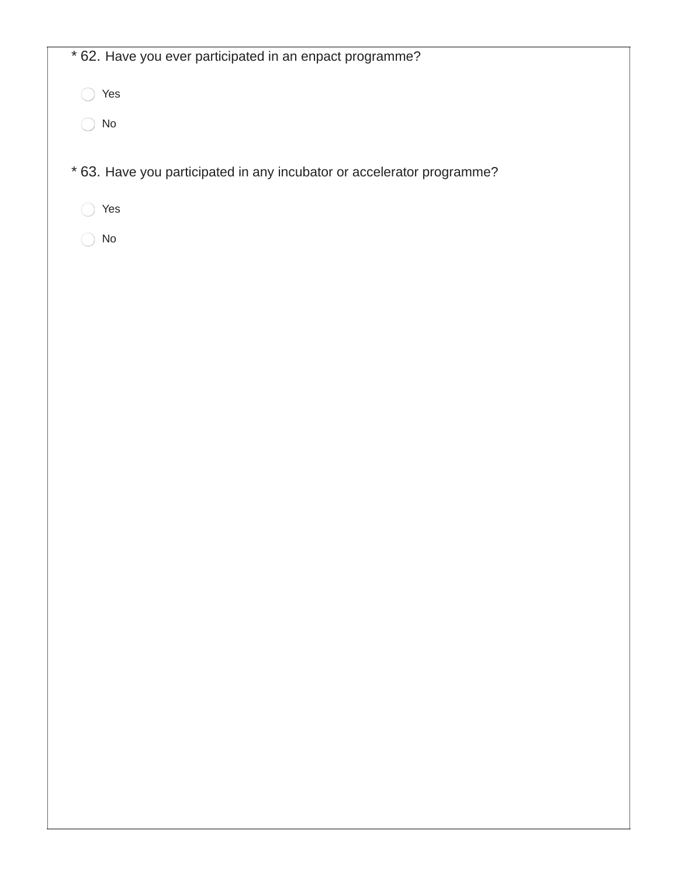| * 62. Have you ever participated in an enpact programme?               |
|------------------------------------------------------------------------|
| Yes                                                                    |
| $\operatorname{\mathsf{No}}$                                           |
|                                                                        |
| * 63. Have you participated in any incubator or accelerator programme? |
| Yes                                                                    |
| $\rm No$                                                               |
|                                                                        |
|                                                                        |
|                                                                        |
|                                                                        |
|                                                                        |
|                                                                        |
|                                                                        |
|                                                                        |
|                                                                        |
|                                                                        |
|                                                                        |
|                                                                        |
|                                                                        |
|                                                                        |
|                                                                        |
|                                                                        |
|                                                                        |
|                                                                        |
|                                                                        |
|                                                                        |

٦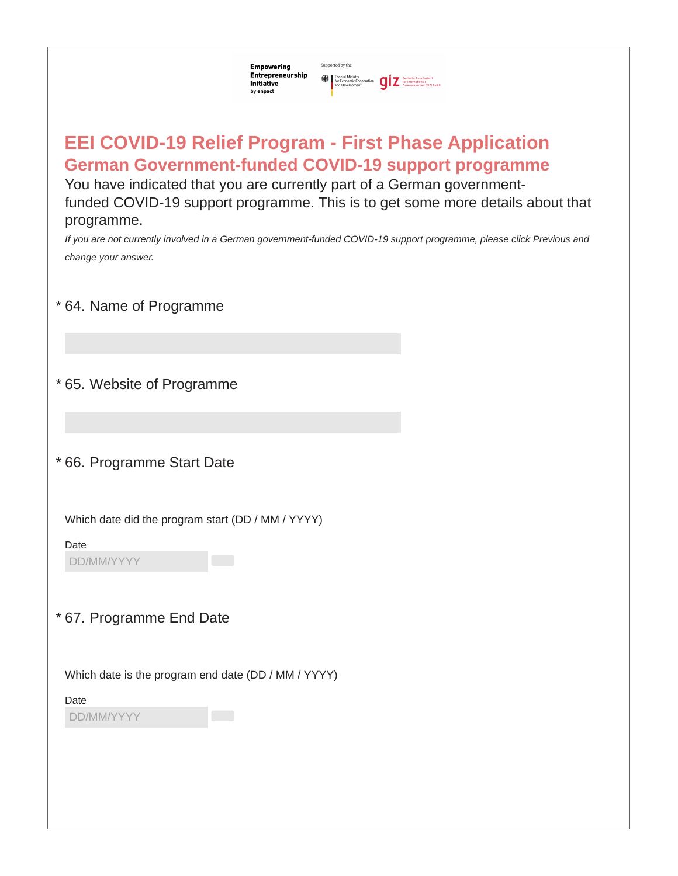| Supported by the<br><b>Empowering</b><br>Entrepreneurship<br>Federal Ministry<br>The Economic Cooperation<br>and Development<br>The Taxammenarbeit (612) 6mbH<br>$\sum$ and Development<br>Initiative<br>by enpact                                                                                                                                                                                                                                   |
|------------------------------------------------------------------------------------------------------------------------------------------------------------------------------------------------------------------------------------------------------------------------------------------------------------------------------------------------------------------------------------------------------------------------------------------------------|
| <b>EEI COVID-19 Relief Program - First Phase Application</b><br><b>German Government-funded COVID-19 support programme</b><br>You have indicated that you are currently part of a German government-<br>funded COVID-19 support programme. This is to get some more details about that<br>programme.<br>If you are not currently involved in a German government-funded COVID-19 support programme, please click Previous and<br>change your answer. |
| * 64. Name of Programme                                                                                                                                                                                                                                                                                                                                                                                                                              |
|                                                                                                                                                                                                                                                                                                                                                                                                                                                      |
| * 65. Website of Programme                                                                                                                                                                                                                                                                                                                                                                                                                           |
|                                                                                                                                                                                                                                                                                                                                                                                                                                                      |
| * 66. Programme Start Date                                                                                                                                                                                                                                                                                                                                                                                                                           |
| Which date did the program start (DD / MM / YYYY)<br>Date<br>DD/MM/YYYY                                                                                                                                                                                                                                                                                                                                                                              |
| * 67. Programme End Date                                                                                                                                                                                                                                                                                                                                                                                                                             |
| Which date is the program end date (DD / MM / YYYY)<br>Date<br>DD/MM/YYYY                                                                                                                                                                                                                                                                                                                                                                            |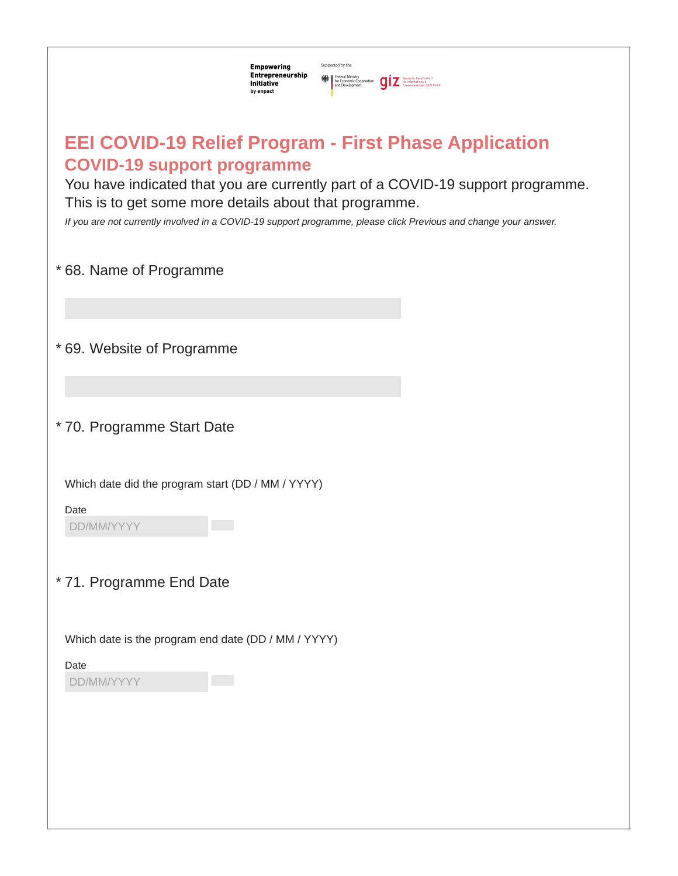| Supported by the<br><b>Empowering</b><br>Entrepreneurship<br>Federal Ministry<br>The Economic Cooperation<br>and Development<br>The Taxammenarbeit (612) 6mbH<br>$\sum$ and Development<br>Initiative<br>by enpact                                                                                                                                                 |
|--------------------------------------------------------------------------------------------------------------------------------------------------------------------------------------------------------------------------------------------------------------------------------------------------------------------------------------------------------------------|
| <b>EEI COVID-19 Relief Program - First Phase Application</b><br><b>COVID-19 support programme</b><br>You have indicated that you are currently part of a COVID-19 support programme.<br>This is to get some more details about that programme.<br>If you are not currently involved in a COVID-19 support programme, please click Previous and change your answer. |
| *68. Name of Programme                                                                                                                                                                                                                                                                                                                                             |
| *69. Website of Programme                                                                                                                                                                                                                                                                                                                                          |
| * 70. Programme Start Date                                                                                                                                                                                                                                                                                                                                         |
| Which date did the program start (DD / MM / YYYY)<br>Date<br>DD/MM/YYYY                                                                                                                                                                                                                                                                                            |
| * 71. Programme End Date                                                                                                                                                                                                                                                                                                                                           |
| Which date is the program end date (DD / MM / YYYY)<br>Date<br>DD/MM/YYYY                                                                                                                                                                                                                                                                                          |
|                                                                                                                                                                                                                                                                                                                                                                    |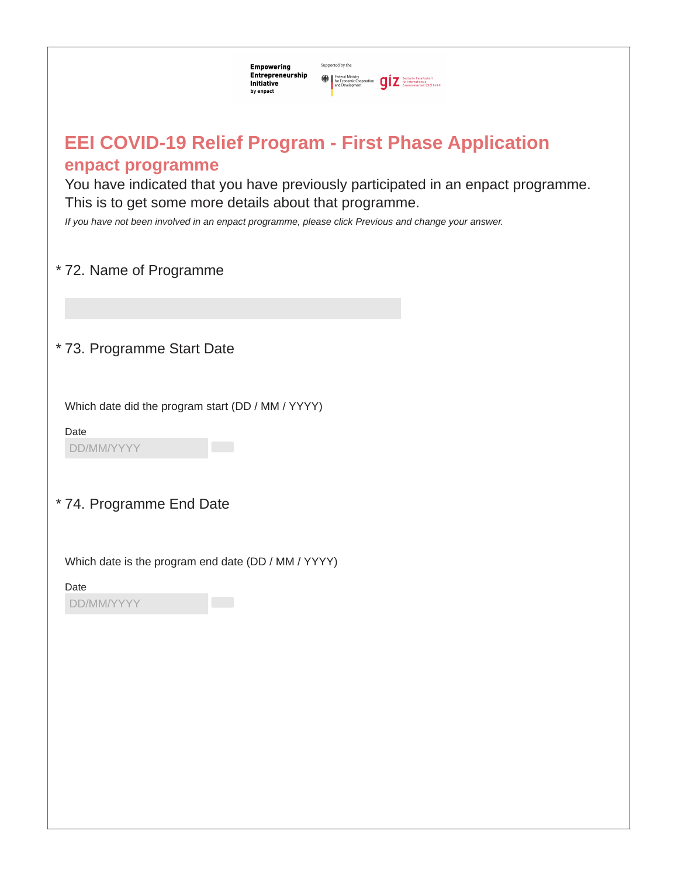| Supported by the<br><b>Empowering</b><br>Entrepreneurship<br>Federal Ministry<br>The Economic Cooperation<br>The Fight Presidential Presidential Properties and Development<br>Testimminarbeit (GIZ) BmbH<br>Initiative<br>by enpact                                                                                                  |
|---------------------------------------------------------------------------------------------------------------------------------------------------------------------------------------------------------------------------------------------------------------------------------------------------------------------------------------|
| <b>EEI COVID-19 Relief Program - First Phase Application</b><br>enpact programme<br>You have indicated that you have previously participated in an enpact programme.<br>This is to get some more details about that programme.<br>If you have not been involved in an enpact programme, please click Previous and change your answer. |
| * 72. Name of Programme                                                                                                                                                                                                                                                                                                               |
|                                                                                                                                                                                                                                                                                                                                       |
| * 73. Programme Start Date                                                                                                                                                                                                                                                                                                            |
| Which date did the program start (DD / MM / YYYY)<br>Date<br>DD/MM/YYYY                                                                                                                                                                                                                                                               |
| *74. Programme End Date                                                                                                                                                                                                                                                                                                               |
| Which date is the program end date (DD / MM / YYYY)                                                                                                                                                                                                                                                                                   |
| Date<br>DD/MM/YYYY                                                                                                                                                                                                                                                                                                                    |
|                                                                                                                                                                                                                                                                                                                                       |
|                                                                                                                                                                                                                                                                                                                                       |
|                                                                                                                                                                                                                                                                                                                                       |
|                                                                                                                                                                                                                                                                                                                                       |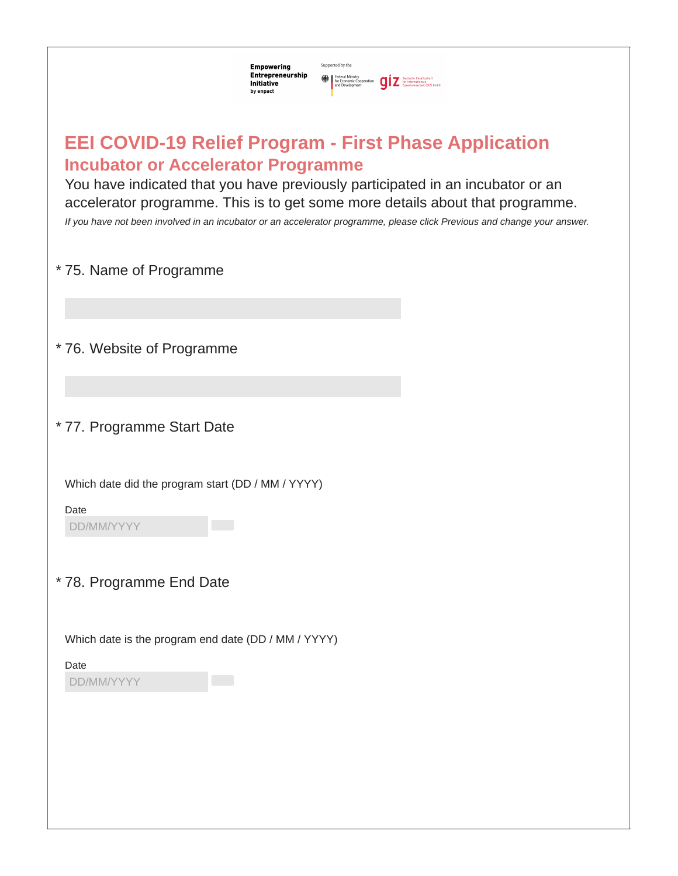| Supported by the<br><b>Empowering</b><br>Entrepreneurship<br>Federal Ministry<br>for Economic Cooperation<br>and Development<br>and Development<br>$\sum_{Z}$ Surfammenarbeit (612) SmbH<br>Initiative<br>by enpact                                                                                                                                                                                      |  |  |  |  |  |
|----------------------------------------------------------------------------------------------------------------------------------------------------------------------------------------------------------------------------------------------------------------------------------------------------------------------------------------------------------------------------------------------------------|--|--|--|--|--|
| <b>EEI COVID-19 Relief Program - First Phase Application</b><br><b>Incubator or Accelerator Programme</b><br>You have indicated that you have previously participated in an incubator or an<br>accelerator programme. This is to get some more details about that programme.<br>If you have not been involved in an incubator or an accelerator programme, please click Previous and change your answer. |  |  |  |  |  |
| * 75. Name of Programme                                                                                                                                                                                                                                                                                                                                                                                  |  |  |  |  |  |
| *76. Website of Programme                                                                                                                                                                                                                                                                                                                                                                                |  |  |  |  |  |
| * 77. Programme Start Date                                                                                                                                                                                                                                                                                                                                                                               |  |  |  |  |  |
| Which date did the program start (DD / MM / YYYY)<br>Date<br>DD/MM/YYYY                                                                                                                                                                                                                                                                                                                                  |  |  |  |  |  |
| * 78. Programme End Date                                                                                                                                                                                                                                                                                                                                                                                 |  |  |  |  |  |
| Which date is the program end date (DD / MM / YYYY)<br>Date<br>DD/MM/YYYY                                                                                                                                                                                                                                                                                                                                |  |  |  |  |  |
|                                                                                                                                                                                                                                                                                                                                                                                                          |  |  |  |  |  |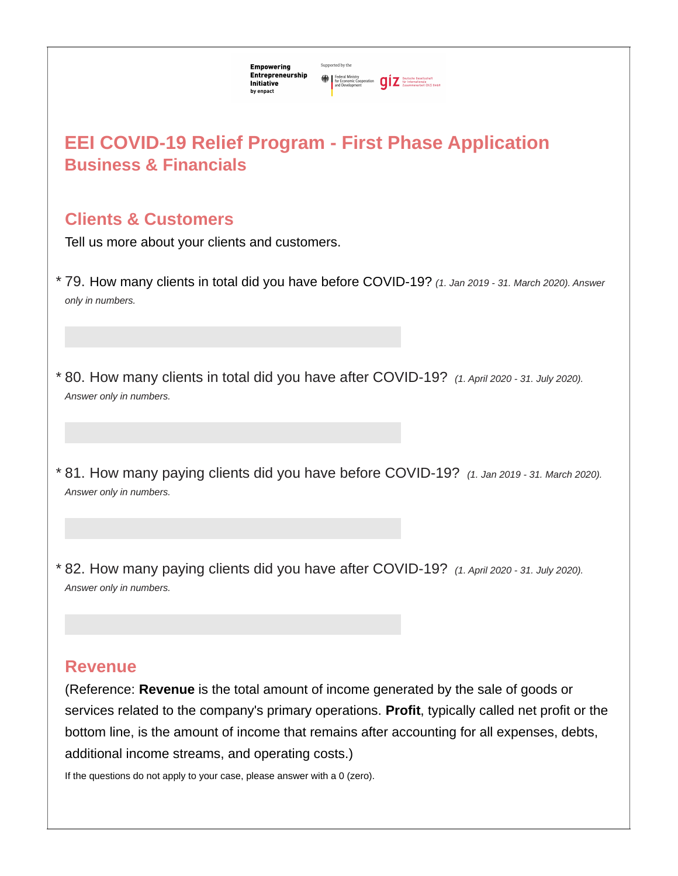| :mpowering                                | Supported by the |                                                                 |            |                                                                         |  |
|-------------------------------------------|------------------|-----------------------------------------------------------------|------------|-------------------------------------------------------------------------|--|
| :ntrepreneurship<br>nitiative<br>y enpact |                  | Federal Ministry<br>For Economic Cooperation<br>and Development | <b>aiz</b> | <b>Deutsche Gesellscha</b><br>für Internationale<br>Zusammenarbeit (612 |  |

# **Business & Financials EEI COVID-19 Relief Program - First Phase Application**

### **Clients & Customers**

Tell us more about your clients and customers.

- 79. How many clients in total did you have before COVID-19? *(1. Jan <sup>2019</sup> - 31. March 2020). Answer* \* *only in numbers.*
- 80. How many clients in total did you have after COVID-19? *(1. April <sup>2020</sup> - 31. July 2020).* \* *Answer only in numbers.*
- 81. How many paying clients did you have before COVID-19? *(1. Jan <sup>2019</sup> - 31. March 2020).* \* *Answer only in numbers.*
- 82. How many paying clients did you have after COVID-19? *(1. April <sup>2020</sup> - 31. July 2020).* \* *Answer only in numbers.*

### **Revenue**

(Reference: **Revenue** is the total amount of income generated by the sale of goods or services related to the company's primary operations. **Profit**, typically called net profit or the bottom line, is the amount of income that remains after accounting for all expenses, debts, additional income streams, and operating costs.)

If the questions do not apply to your case, please answer with a 0 (zero).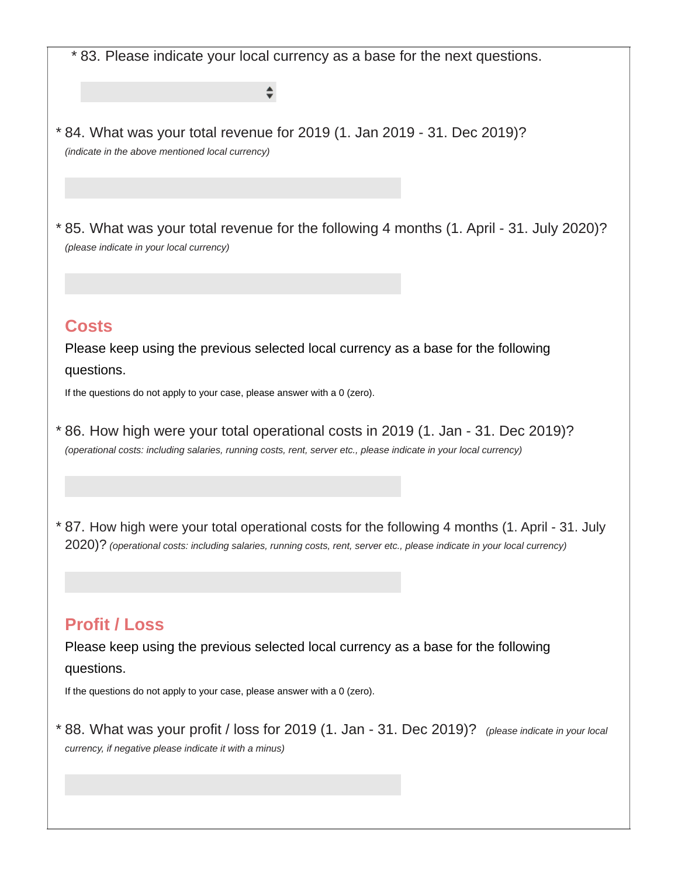\* 83. Please indicate your local currency as a base for the next questions.

84. What was your total revenue for 2019 (1. Jan 2019 - 31. Dec 2019)? \* *(indicate in the above mentioned local currency)*

 $\div$ 

85. What was your total revenue for the following 4 months (1. April - 31. July 2020)? \* *(please indicate in your local currency)*

#### **Costs**

Please keep using the previous selected local currency as a base for the following questions.

If the questions do not apply to your case, please answer with a 0 (zero).

- 86. How high were your total operational costs in 2019 (1. Jan 31. Dec 2019)? \* *(operational costs: including salaries, running costs, rent, server etc., please indicate in your local currency)*
- 87. How high were your total operational costs for the following 4 months (1. April 31. July \* 2020)? (operational costs: including salaries, running costs, rent, server etc., please indicate in your local currency)

### **Profit / Loss**

Please keep using the previous selected local currency as a base for the following questions.

If the questions do not apply to your case, please answer with a 0 (zero).

88. What was your profit / loss for 2019 (1. Jan - 31. Dec 2019)? *(please indicate in your local* \**currency, if negative please indicate it with a minus)*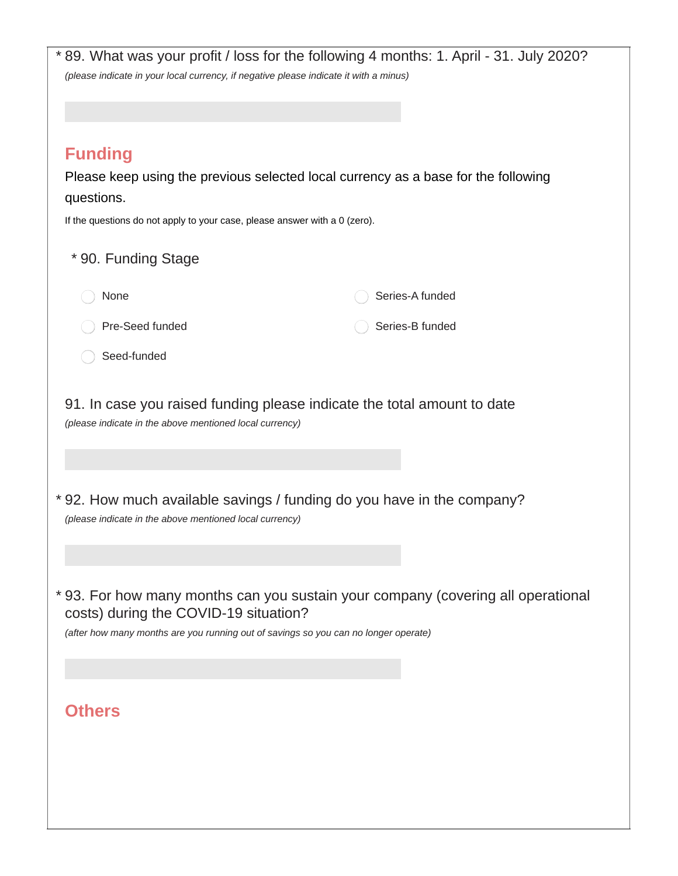| <b>Funding</b><br>Please keep using the previous selected local currency as a base for the following<br>questions.<br>If the questions do not apply to your case, please answer with a 0 (zero).<br>* 90. Funding Stage<br>Series-A funded<br>None<br>Pre-Seed funded<br>Series-B funded<br>Seed-funded<br>91. In case you raised funding please indicate the total amount to date<br>(please indicate in the above mentioned local currency)<br>*92. How much available savings / funding do you have in the company?<br>(please indicate in the above mentioned local currency)<br>* 93. For how many months can you sustain your company (covering all operational<br>costs) during the COVID-19 situation?<br>(after how many months are you running out of savings so you can no longer operate)<br><b>Others</b> | (please indicate in your local currency, if negative please indicate it with a minus) |  |
|------------------------------------------------------------------------------------------------------------------------------------------------------------------------------------------------------------------------------------------------------------------------------------------------------------------------------------------------------------------------------------------------------------------------------------------------------------------------------------------------------------------------------------------------------------------------------------------------------------------------------------------------------------------------------------------------------------------------------------------------------------------------------------------------------------------------|---------------------------------------------------------------------------------------|--|
|                                                                                                                                                                                                                                                                                                                                                                                                                                                                                                                                                                                                                                                                                                                                                                                                                        |                                                                                       |  |
|                                                                                                                                                                                                                                                                                                                                                                                                                                                                                                                                                                                                                                                                                                                                                                                                                        |                                                                                       |  |
|                                                                                                                                                                                                                                                                                                                                                                                                                                                                                                                                                                                                                                                                                                                                                                                                                        |                                                                                       |  |
|                                                                                                                                                                                                                                                                                                                                                                                                                                                                                                                                                                                                                                                                                                                                                                                                                        |                                                                                       |  |
|                                                                                                                                                                                                                                                                                                                                                                                                                                                                                                                                                                                                                                                                                                                                                                                                                        |                                                                                       |  |
|                                                                                                                                                                                                                                                                                                                                                                                                                                                                                                                                                                                                                                                                                                                                                                                                                        |                                                                                       |  |
|                                                                                                                                                                                                                                                                                                                                                                                                                                                                                                                                                                                                                                                                                                                                                                                                                        |                                                                                       |  |
|                                                                                                                                                                                                                                                                                                                                                                                                                                                                                                                                                                                                                                                                                                                                                                                                                        |                                                                                       |  |
|                                                                                                                                                                                                                                                                                                                                                                                                                                                                                                                                                                                                                                                                                                                                                                                                                        |                                                                                       |  |
|                                                                                                                                                                                                                                                                                                                                                                                                                                                                                                                                                                                                                                                                                                                                                                                                                        |                                                                                       |  |
|                                                                                                                                                                                                                                                                                                                                                                                                                                                                                                                                                                                                                                                                                                                                                                                                                        |                                                                                       |  |
|                                                                                                                                                                                                                                                                                                                                                                                                                                                                                                                                                                                                                                                                                                                                                                                                                        |                                                                                       |  |
|                                                                                                                                                                                                                                                                                                                                                                                                                                                                                                                                                                                                                                                                                                                                                                                                                        |                                                                                       |  |
|                                                                                                                                                                                                                                                                                                                                                                                                                                                                                                                                                                                                                                                                                                                                                                                                                        |                                                                                       |  |
|                                                                                                                                                                                                                                                                                                                                                                                                                                                                                                                                                                                                                                                                                                                                                                                                                        |                                                                                       |  |
|                                                                                                                                                                                                                                                                                                                                                                                                                                                                                                                                                                                                                                                                                                                                                                                                                        |                                                                                       |  |
|                                                                                                                                                                                                                                                                                                                                                                                                                                                                                                                                                                                                                                                                                                                                                                                                                        |                                                                                       |  |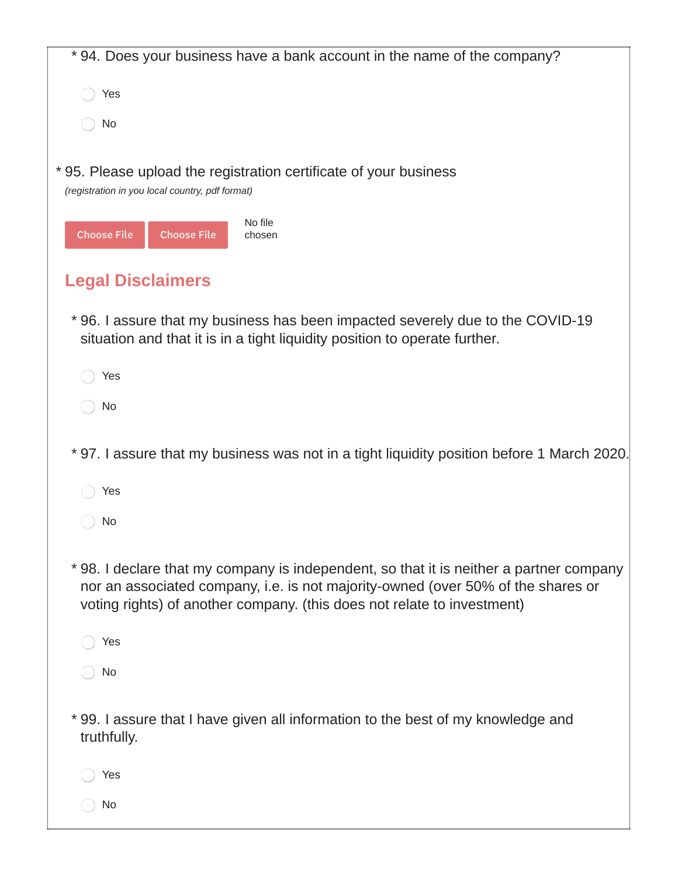| * 94. Does your business have a bank account in the name of the company?                                                                                                                                                                              |
|-------------------------------------------------------------------------------------------------------------------------------------------------------------------------------------------------------------------------------------------------------|
| Yes                                                                                                                                                                                                                                                   |
| No                                                                                                                                                                                                                                                    |
| * 95. Please upload the registration certificate of your business<br>(registration in you local country, pdf format)                                                                                                                                  |
| No file<br><b>Choose File</b><br><b>Choose File</b><br>chosen                                                                                                                                                                                         |
| <b>Legal Disclaimers</b>                                                                                                                                                                                                                              |
| *96. I assure that my business has been impacted severely due to the COVID-19<br>situation and that it is in a tight liquidity position to operate further.                                                                                           |
| Yes                                                                                                                                                                                                                                                   |
| No                                                                                                                                                                                                                                                    |
| * 97. I assure that my business was not in a tight liquidity position before 1 March 2020.                                                                                                                                                            |
| Yes                                                                                                                                                                                                                                                   |
| No                                                                                                                                                                                                                                                    |
| *98. I declare that my company is independent, so that it is neither a partner company<br>nor an associated company, i.e. is not majority-owned (over 50% of the shares or<br>voting rights) of another company. (this does not relate to investment) |
| Yes                                                                                                                                                                                                                                                   |
| No                                                                                                                                                                                                                                                    |
| * 99. I assure that I have given all information to the best of my knowledge and<br>truthfully.                                                                                                                                                       |
| Yes                                                                                                                                                                                                                                                   |
| No                                                                                                                                                                                                                                                    |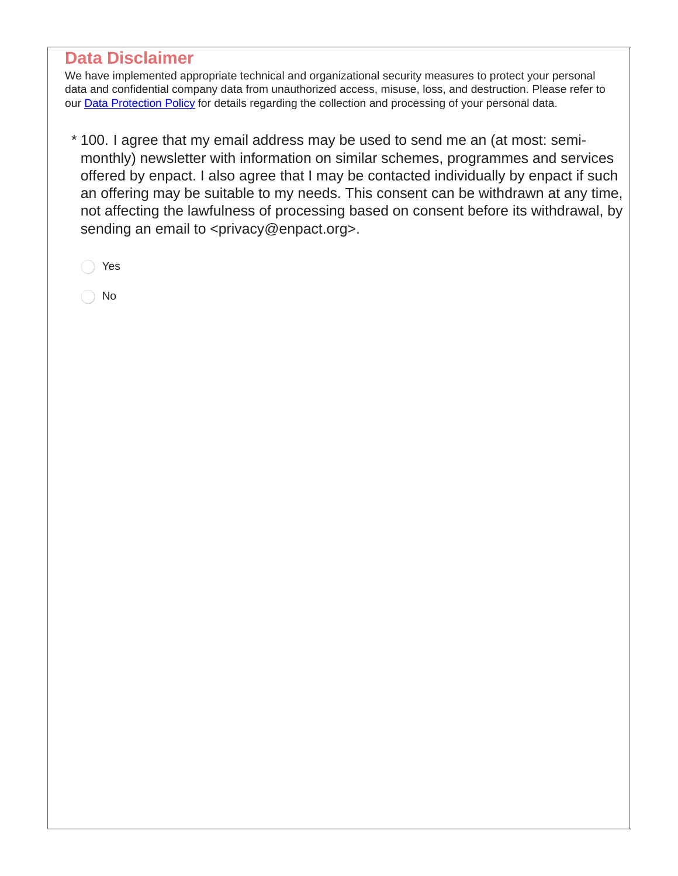### **Data Disclaimer**

We have implemented appropriate technical and organizational security measures to protect your personal data and confidential company data from unauthorized access, misuse, loss, and destruction. Please refer to our **Data [Protection](https://www.enpact.org/footer/disclaimer/#/) Policy** for details regarding the collection and processing of your personal data.

100. I agree that my email address may be used to send me an (at most: semi- \* monthly) newsletter with information on similar schemes, programmes and services offered by enpact. I also agree that I may be contacted individually by enpact if such an offering may be suitable to my needs. This consent can be withdrawn at any time, not affecting the lawfulness of processing based on consent before its withdrawal, by sending an email to <privacy@enpact.org>.

Yes

No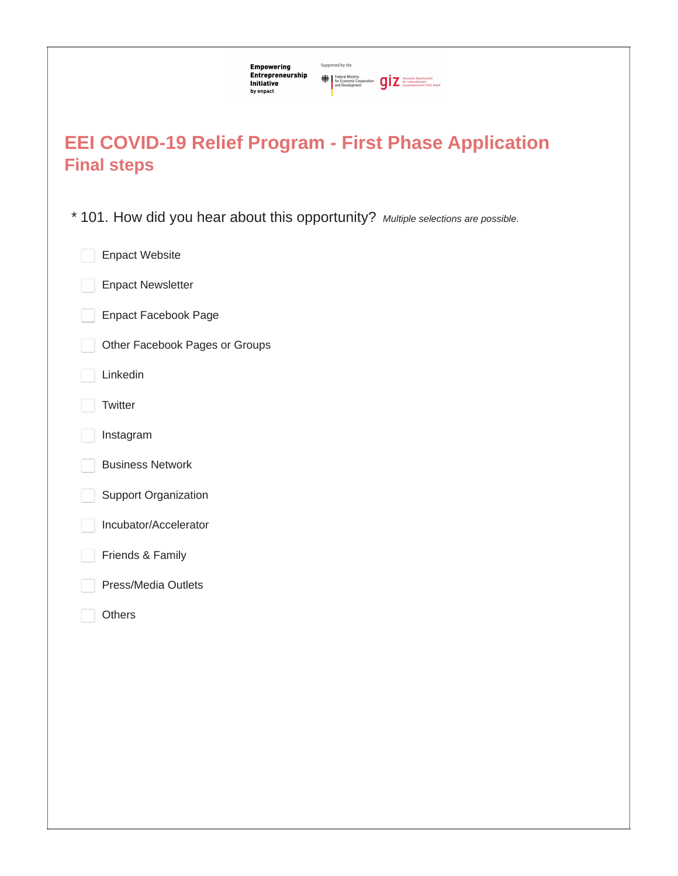| Supported by the<br><b>Empowering</b><br>Entrepreneurship<br>Federal Ministry<br>The Economic Cooperation<br>and Development<br>The Taxammenarboit (612) 6mbH<br>$\sum$ and Development<br>Initiative<br>by enpact |
|--------------------------------------------------------------------------------------------------------------------------------------------------------------------------------------------------------------------|
| <b>EEI COVID-19 Relief Program - First Phase Application</b><br><b>Final steps</b>                                                                                                                                 |
| * 101. How did you hear about this opportunity? Multiple selections are possible.                                                                                                                                  |
| <b>Enpact Website</b>                                                                                                                                                                                              |
| <b>Enpact Newsletter</b>                                                                                                                                                                                           |
| <b>Enpact Facebook Page</b>                                                                                                                                                                                        |
| Other Facebook Pages or Groups                                                                                                                                                                                     |
| Linkedin                                                                                                                                                                                                           |
| Twitter                                                                                                                                                                                                            |
| Instagram                                                                                                                                                                                                          |
| <b>Business Network</b>                                                                                                                                                                                            |
| <b>Support Organization</b>                                                                                                                                                                                        |
| Incubator/Accelerator                                                                                                                                                                                              |
| Friends & Family                                                                                                                                                                                                   |
| Press/Media Outlets                                                                                                                                                                                                |
| Others                                                                                                                                                                                                             |
|                                                                                                                                                                                                                    |
|                                                                                                                                                                                                                    |
|                                                                                                                                                                                                                    |
|                                                                                                                                                                                                                    |
|                                                                                                                                                                                                                    |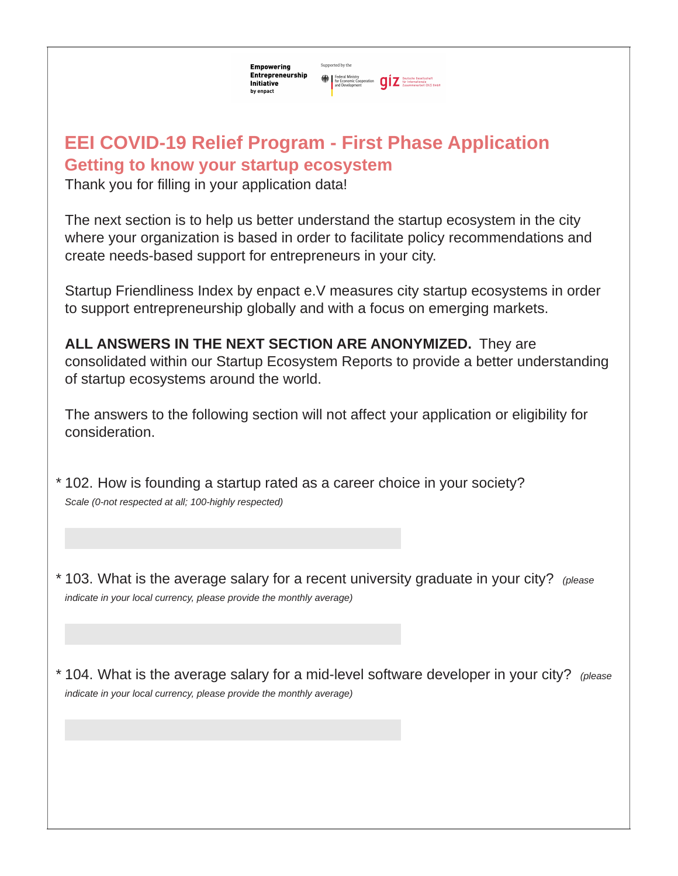Supported by the **Empowering** Entrepreneurship Federal Ministry<br>for Economic Cooperation<br>and Development<br>and Development<br> $\prod_{\text{Zusammenarbot}(612) 6mb}$ Initiative by enpact

# **Getting to know your startup ecosystem EEI COVID-19 Relief Program - First Phase Application**

Thank you for filling in your application data!

The next section is to help us better understand the startup ecosystem in the city where your organization is based in order to facilitate policy recommendations and create needs-based support for entrepreneurs in your city.

Startup Friendliness Index by enpact e.V measures city startup ecosystems in order to support entrepreneurship globally and with a focus on emerging markets.

**ALL ANSWERS IN THE NEXT SECTION ARE ANONYMIZED.** They are consolidated within our Startup Ecosystem Reports to provide a better understanding of startup ecosystems around the world.

The answers to the following section will not affect your application or eligibility for consideration.

102. How is founding a startup rated as a career choice in your society? \* *Scale (0-not respected at all; 100-highly respected)*

103. What is the average salary for a recent university graduate in your city? *(please* \* *indicate in your local currency, please provide the monthly average)*

104. What is the average salary for a mid-level software developer in your city? *(please* \**indicate in your local currency, please provide the monthly average)*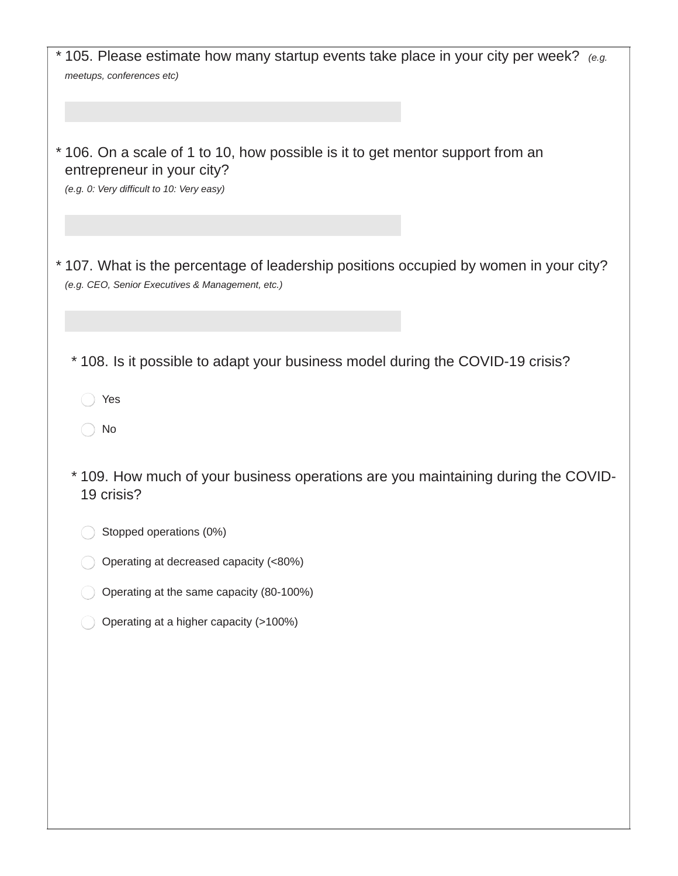| $*$ 105. Please estimate how many startup events take place in your city per week? (e.g.                                                                  |
|-----------------------------------------------------------------------------------------------------------------------------------------------------------|
| meetups, conferences etc)                                                                                                                                 |
|                                                                                                                                                           |
| * 106. On a scale of 1 to 10, how possible is it to get mentor support from an<br>entrepreneur in your city?<br>(e.g. 0: Very difficult to 10: Very easy) |
|                                                                                                                                                           |
| *107. What is the percentage of leadership positions occupied by women in your city?<br>(e.g. CEO, Senior Executives & Management, etc.)                  |
|                                                                                                                                                           |
| *108. Is it possible to adapt your business model during the COVID-19 crisis?                                                                             |
| Yes                                                                                                                                                       |
| No                                                                                                                                                        |
| * 109. How much of your business operations are you maintaining during the COVID-<br>19 crisis?                                                           |
| Stopped operations (0%)                                                                                                                                   |
| Operating at decreased capacity (<80%)                                                                                                                    |
| Operating at the same capacity (80-100%)                                                                                                                  |
| Operating at a higher capacity (>100%)                                                                                                                    |
|                                                                                                                                                           |
|                                                                                                                                                           |
|                                                                                                                                                           |
|                                                                                                                                                           |
|                                                                                                                                                           |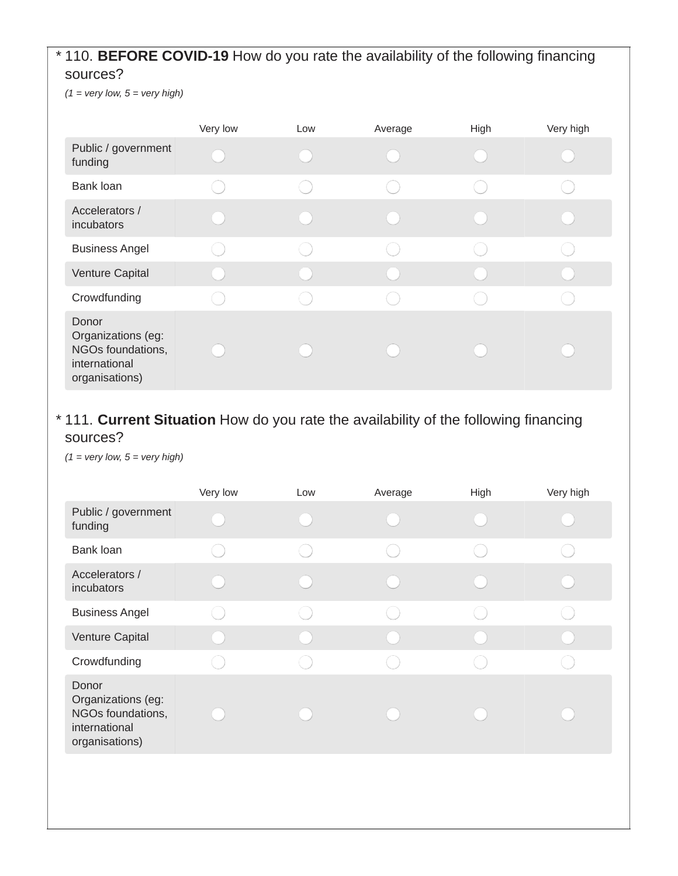#### 110. **BEFORE COVID-19** How do you rate the availability of the following financing \* sources?

 $(1 = \text{very low}, 5 = \text{very high})$ 

|                                                                                     | Very low | Low | Average | High | Very high |
|-------------------------------------------------------------------------------------|----------|-----|---------|------|-----------|
| Public / government<br>funding                                                      |          |     |         |      |           |
| Bank loan                                                                           |          |     |         |      |           |
| Accelerators /<br>incubators                                                        |          |     |         |      |           |
| <b>Business Angel</b>                                                               |          |     |         |      |           |
| Venture Capital                                                                     |          |     |         |      |           |
| Crowdfunding                                                                        |          |     |         |      |           |
| Donor<br>Organizations (eg:<br>NGOs foundations,<br>international<br>organisations) |          |     |         |      |           |

#### 111. **Current Situation** How do you rate the availability of the following financing \*sources?

*(1 = very low, 5 = very high)*

|                                                                                     | Very low | Low | Average | High | Very high |
|-------------------------------------------------------------------------------------|----------|-----|---------|------|-----------|
| Public / government<br>funding                                                      |          |     |         |      |           |
| Bank loan                                                                           |          |     |         |      |           |
| Accelerators /<br>incubators                                                        |          |     |         |      |           |
| <b>Business Angel</b>                                                               |          |     |         |      |           |
| Venture Capital                                                                     |          |     |         |      |           |
| Crowdfunding                                                                        |          |     |         |      |           |
| Donor<br>Organizations (eg:<br>NGOs foundations,<br>international<br>organisations) |          |     |         |      |           |
|                                                                                     |          |     |         |      |           |
|                                                                                     |          |     |         |      |           |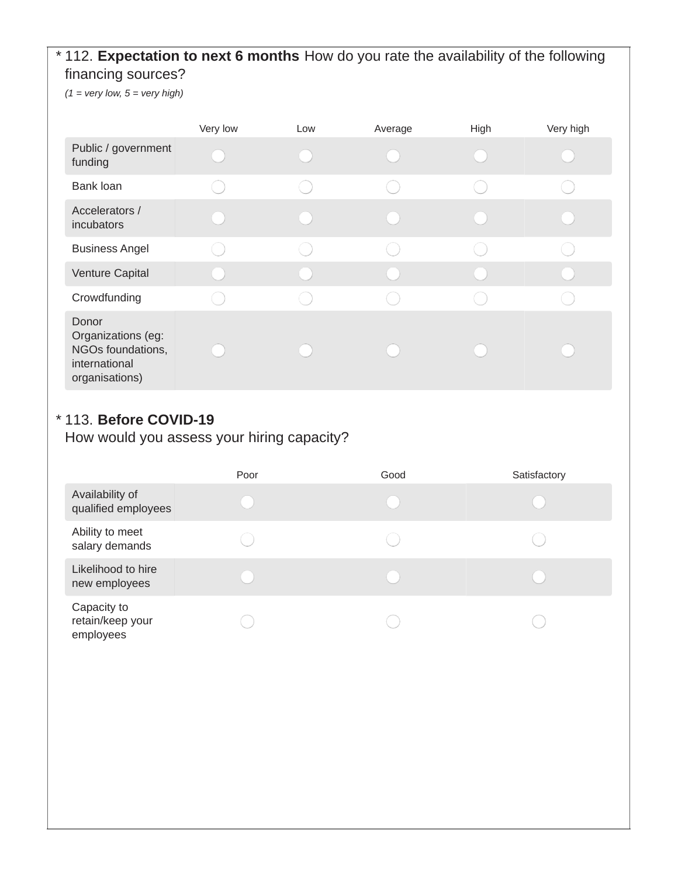#### 112. **Expectation to next 6 months** How do you rate the availability of the following \* financing sources?

*(1 = very low, 5 = very high)*

|                                                                                     | Very low | Low | Average | High | Very high |
|-------------------------------------------------------------------------------------|----------|-----|---------|------|-----------|
| Public / government<br>funding                                                      |          |     |         |      |           |
| Bank loan                                                                           |          |     |         |      |           |
| Accelerators /<br>incubators                                                        |          |     |         |      |           |
| <b>Business Angel</b>                                                               |          |     |         |      |           |
| Venture Capital                                                                     |          |     |         |      |           |
| Crowdfunding                                                                        |          |     |         |      |           |
| Donor<br>Organizations (eg:<br>NGOs foundations,<br>international<br>organisations) |          |     |         |      |           |

#### 113. **Before COVID-19** \*

How would you assess your hiring capacity?

|                                              | Poor | Good | Satisfactory |
|----------------------------------------------|------|------|--------------|
| Availability of<br>qualified employees       |      |      |              |
| Ability to meet<br>salary demands            |      |      |              |
| Likelihood to hire<br>new employees          |      |      |              |
| Capacity to<br>retain/keep your<br>employees |      |      |              |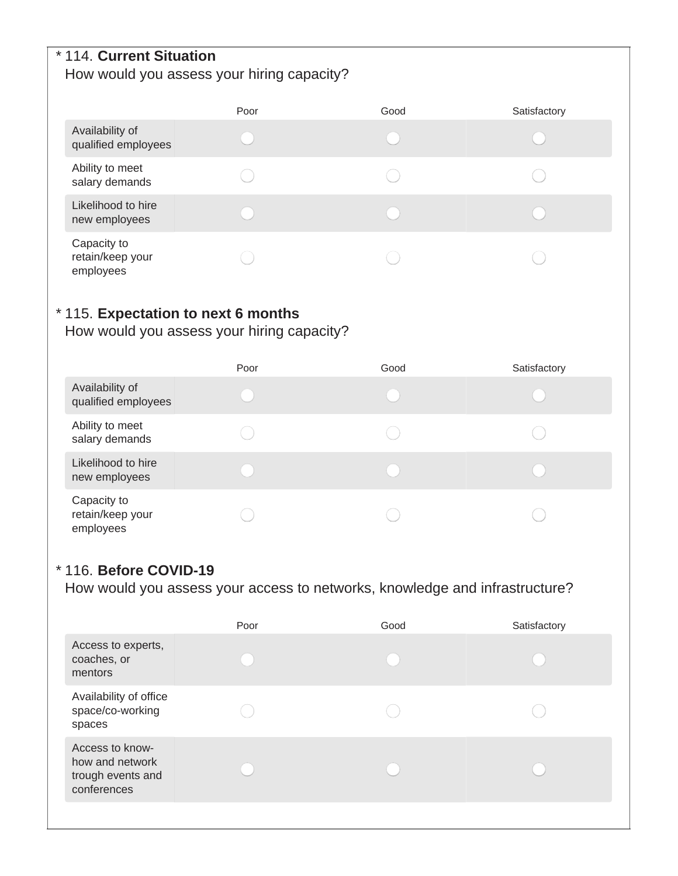#### 114. **Current Situation** \* How would you assess your hiring capacity?

|                                              | Poor | Good | Satisfactory |
|----------------------------------------------|------|------|--------------|
| Availability of<br>qualified employees       |      |      |              |
| Ability to meet<br>salary demands            |      |      |              |
| Likelihood to hire<br>new employees          |      |      |              |
| Capacity to<br>retain/keep your<br>employees |      |      |              |

#### 115. **Expectation to next 6 months** \*

How would you assess your hiring capacity?

|                                              | Poor | Good | Satisfactory |
|----------------------------------------------|------|------|--------------|
| Availability of<br>qualified employees       |      |      |              |
| Ability to meet<br>salary demands            |      |      |              |
| Likelihood to hire<br>new employees          |      |      |              |
| Capacity to<br>retain/keep your<br>employees |      |      |              |

#### 116. **Before COVID-19** \*

How would you assess your access to networks, knowledge and infrastructure?

|                                                                        | Poor | Good | Satisfactory |
|------------------------------------------------------------------------|------|------|--------------|
| Access to experts,<br>coaches, or<br>mentors                           |      |      |              |
| Availability of office<br>space/co-working<br>spaces                   |      |      |              |
| Access to know-<br>how and network<br>trough events and<br>conferences |      |      |              |
|                                                                        |      |      |              |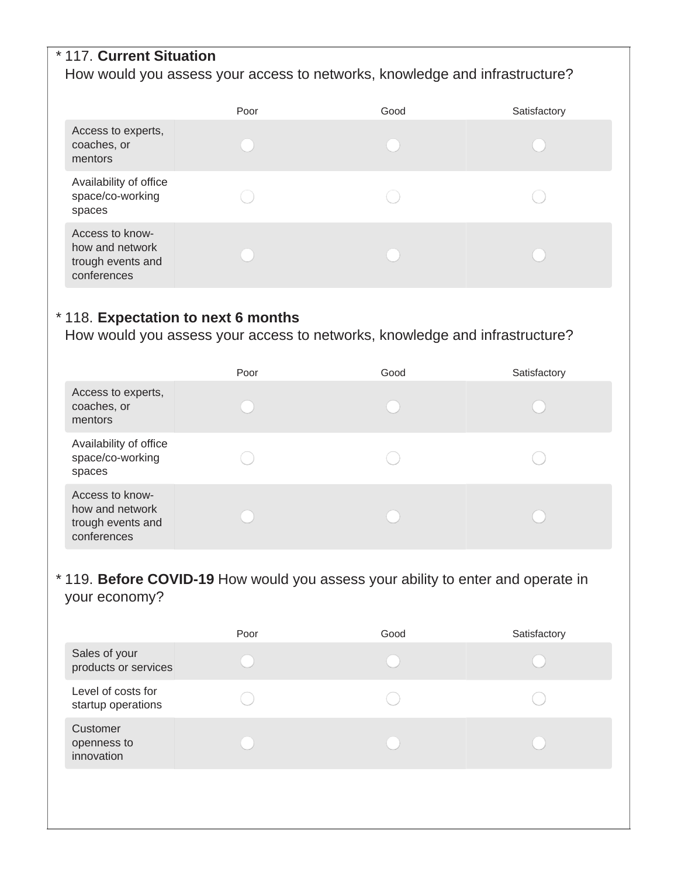#### 117. **Current Situation** \*

#### How would you assess your access to networks, knowledge and infrastructure?

|                                                                        | Poor | Good | Satisfactory |
|------------------------------------------------------------------------|------|------|--------------|
| Access to experts,<br>coaches, or<br>mentors                           |      |      |              |
| Availability of office<br>space/co-working<br>spaces                   |      |      |              |
| Access to know-<br>how and network<br>trough events and<br>conferences |      |      |              |

#### 118. **Expectation to next 6 months** \*

How would you assess your access to networks, knowledge and infrastructure?

|                                                                        | Poor | Good | Satisfactory |
|------------------------------------------------------------------------|------|------|--------------|
| Access to experts,<br>coaches, or<br>mentors                           |      |      |              |
| Availability of office<br>space/co-working<br>spaces                   |      |      |              |
| Access to know-<br>how and network<br>trough events and<br>conferences |      |      |              |

#### 119. **Before COVID-19** How would you assess your ability to enter and operate in \*your economy?

|                                          | Poor | Good | Satisfactory |
|------------------------------------------|------|------|--------------|
| Sales of your<br>products or services    |      |      |              |
| Level of costs for<br>startup operations |      |      |              |
| Customer<br>openness to<br>innovation    |      |      |              |
|                                          |      |      |              |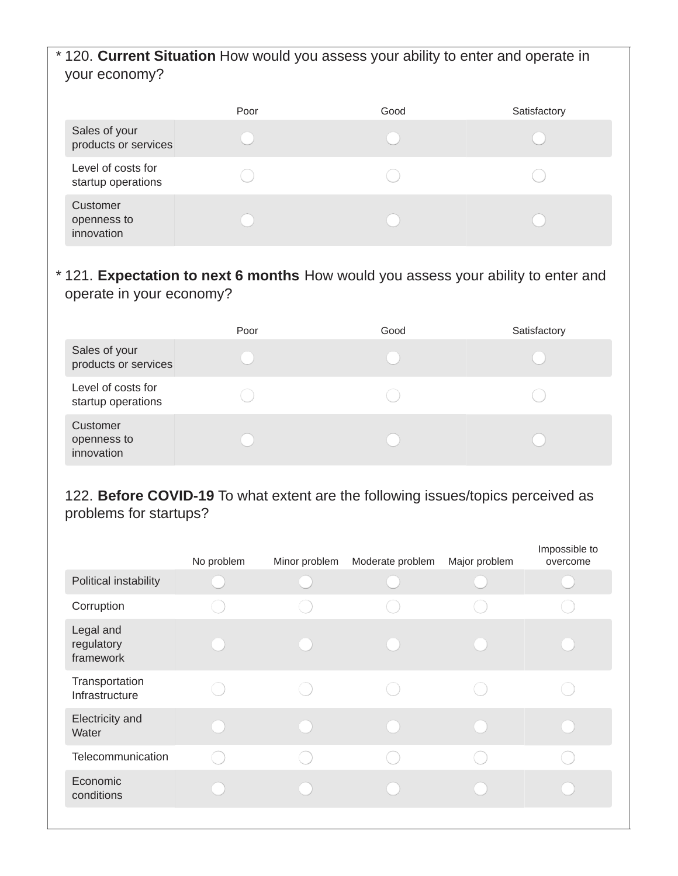#### 120. **Current Situation** How would you assess your ability to enter and operate in \* your economy?

|                                          | Poor | Good | Satisfactory |
|------------------------------------------|------|------|--------------|
| Sales of your<br>products or services    |      |      |              |
| Level of costs for<br>startup operations |      |      |              |
| Customer<br>openness to<br>innovation    |      |      |              |

#### 121. **Expectation to next 6 months** How would you assess your ability to enter and \* operate in your economy?

|                                          | Poor | Good | Satisfactory |
|------------------------------------------|------|------|--------------|
| Sales of your<br>products or services    |      |      |              |
| Level of costs for<br>startup operations |      |      |              |
| Customer<br>openness to<br>innovation    |      |      |              |

#### 122. **Before COVID-19** To what extent are the following issues/topics perceived as problems for startups?

|                                      | No problem | Minor problem | Moderate problem | Major problem | Impossible to<br>overcome |
|--------------------------------------|------------|---------------|------------------|---------------|---------------------------|
| Political instability                |            |               |                  |               |                           |
| Corruption                           |            |               |                  |               |                           |
| Legal and<br>regulatory<br>framework |            |               |                  |               |                           |
| Transportation<br>Infrastructure     |            |               |                  |               |                           |
| Electricity and<br>Water             |            |               |                  |               |                           |
| Telecommunication                    |            |               |                  |               |                           |
| Economic<br>conditions               |            |               |                  |               |                           |
|                                      |            |               |                  |               |                           |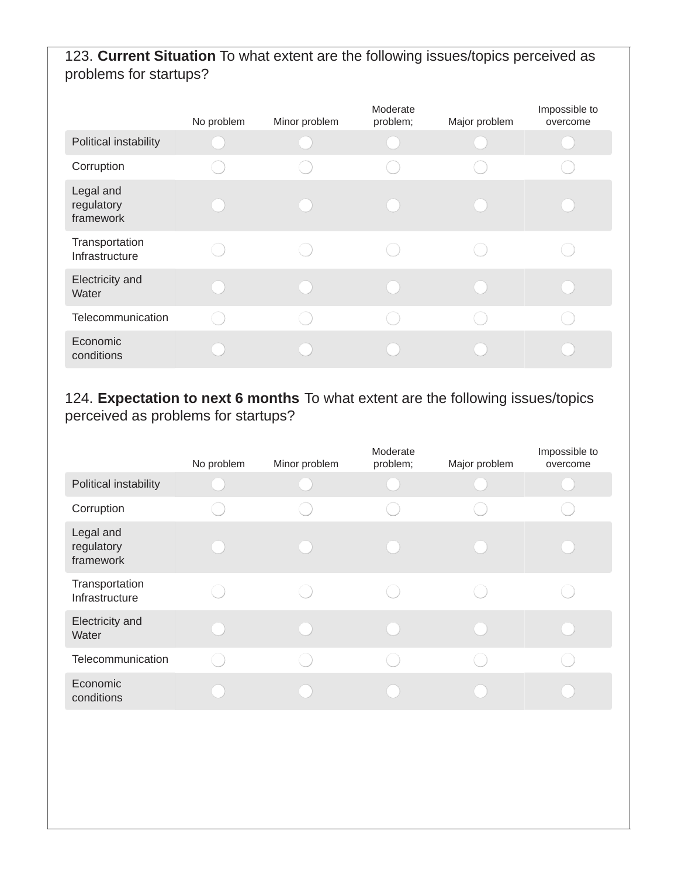### 123. **Current Situation** To what extent are the following issues/topics perceived as problems for startups?

|                                      | No problem | Minor problem | Moderate<br>problem; | Major problem | Impossible to<br>overcome |
|--------------------------------------|------------|---------------|----------------------|---------------|---------------------------|
| Political instability                |            |               |                      |               |                           |
| Corruption                           |            |               |                      |               |                           |
| Legal and<br>regulatory<br>framework |            |               |                      |               |                           |
| Transportation<br>Infrastructure     |            |               |                      |               |                           |
| Electricity and<br>Water             |            |               |                      |               |                           |
| Telecommunication                    |            |               |                      |               |                           |
| Economic<br>conditions               |            |               |                      |               |                           |

### 124. **Expectation to next 6 months** To what extent are the following issues/topics perceived as problems for startups?

|                                      | No problem | Minor problem | Moderate<br>problem; | Major problem | Impossible to<br>overcome |
|--------------------------------------|------------|---------------|----------------------|---------------|---------------------------|
| Political instability                |            |               |                      |               |                           |
| Corruption                           |            |               |                      |               |                           |
| Legal and<br>regulatory<br>framework |            |               |                      |               |                           |
| Transportation<br>Infrastructure     |            |               |                      |               |                           |
| Electricity and<br>Water             |            |               |                      |               |                           |
| Telecommunication                    |            |               |                      |               |                           |
| Economic<br>conditions               |            |               |                      |               |                           |